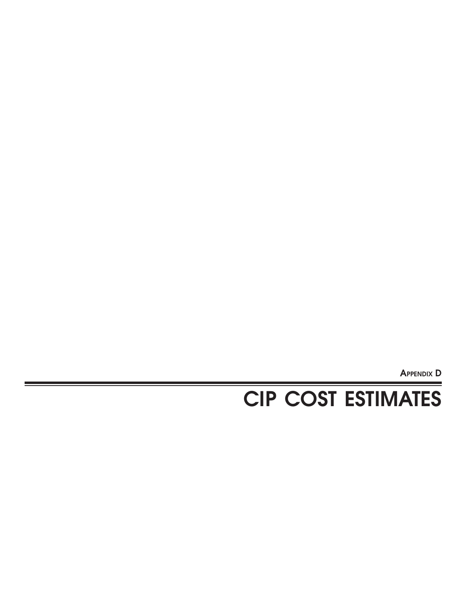**APPENDIX D**

# **CIP COST ESTIMATES**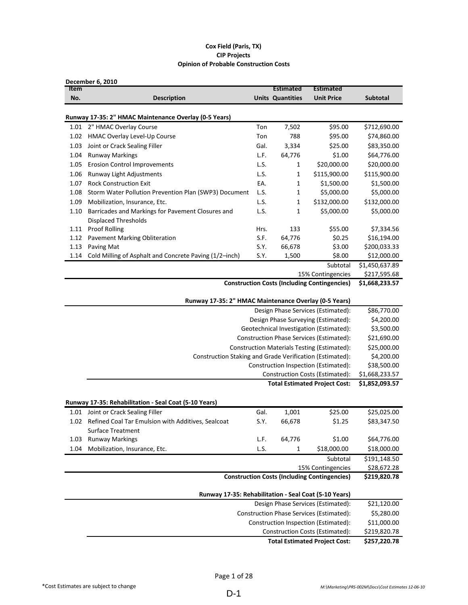### **Cox Field (Paris, TX) CIP Projects Opinion of Probable Construction Costs**

| <b>Item</b> | December 6, 2010                                                                 |      | <b>Estimated</b>        | Estimated                                           |                 |
|-------------|----------------------------------------------------------------------------------|------|-------------------------|-----------------------------------------------------|-----------------|
| No.         | <b>Description</b>                                                               |      | <b>Units Quantities</b> | <b>Unit Price</b>                                   | <b>Subtotal</b> |
|             |                                                                                  |      |                         |                                                     |                 |
|             | Runway 17-35: 2" HMAC Maintenance Overlay (0-5 Years)                            |      |                         |                                                     |                 |
|             | 1.01 2" HMAC Overlay Course                                                      | Ton  | 7,502                   | \$95.00                                             | \$712,690.00    |
| 1.02        | HMAC Overlay Level-Up Course                                                     | Ton  | 788                     | \$95.00                                             | \$74,860.00     |
| 1.03        | Joint or Crack Sealing Filler                                                    | Gal. | 3,334                   | \$25.00                                             | \$83,350.00     |
| 1.04        | <b>Runway Markings</b>                                                           | L.F. | 64,776                  | \$1.00                                              | \$64,776.00     |
| 1.05        | <b>Erosion Control Improvements</b>                                              | L.S. | 1                       | \$20,000.00                                         | \$20,000.00     |
| 1.06        | Runway Light Adjustments                                                         | L.S. | 1                       | \$115,900.00                                        | \$115,900.00    |
| 1.07        | <b>Rock Construction Exit</b>                                                    | EA.  | 1                       | \$1,500.00                                          | \$1,500.00      |
| 1.08        | Storm Water Pollution Prevention Plan (SWP3) Document                            | L.S. | 1                       | \$5,000.00                                          | \$5,000.00      |
| 1.09        | Mobilization, Insurance, Etc.                                                    | L.S. | 1                       | \$132,000.00                                        | \$132,000.00    |
| 1.10        | Barricades and Markings for Pavement Closures and<br><b>Displaced Thresholds</b> | L.S. | 1                       | \$5,000.00                                          | \$5,000.00      |
| 1.11        | <b>Proof Rolling</b>                                                             | Hrs. | 133                     | \$55.00                                             | \$7,334.56      |
| 1.12        | <b>Pavement Marking Obliteration</b>                                             | S.F. | 64,776                  | \$0.25                                              | \$16,194.00     |
| 1.13        | Paving Mat                                                                       | S.Y. | 66,678                  | \$3.00                                              | \$200,033.33    |
| 1.14        | Cold Milling of Asphalt and Concrete Paving (1/2-inch)                           | S.Y. | 1,500                   | \$8.00                                              | \$12,000.00     |
|             |                                                                                  |      |                         | Subtotal                                            | \$1,450,637.89  |
|             |                                                                                  |      |                         | 15% Contingencies                                   | \$217,595.68    |
|             |                                                                                  |      |                         | <b>Construction Costs (Including Contingencies)</b> | \$1,668,233.57  |
|             | Runway 17-35: 2" HMAC Maintenance Overlay (0-5 Years)                            |      |                         |                                                     |                 |
|             |                                                                                  |      |                         | Design Phase Services (Estimated):                  | \$86,770.00     |
|             |                                                                                  |      |                         | Design Phase Surveying (Estimated):                 | \$4,200.00      |
|             |                                                                                  |      |                         | Geotechnical Investigation (Estimated):             | \$3,500.00      |
|             |                                                                                  |      |                         | Construction Phase Services (Estimated):            | \$21,690.00     |
|             |                                                                                  |      |                         | Construction Materials Testing (Estimated):         | \$25,000.00     |
|             | Construction Staking and Grade Verification (Estimated):                         |      |                         |                                                     | \$4,200.00      |
|             |                                                                                  |      |                         | Construction Inspection (Estimated):                | \$38,500.00     |
|             |                                                                                  |      |                         | Construction Costs (Estimated):                     | \$1,668,233.57  |
|             |                                                                                  |      |                         | <b>Total Estimated Project Cost:</b>                | \$1,852,093.57  |
|             | Runway 17-35: Rehabilitation - Seal Coat (5-10 Years)                            |      |                         |                                                     |                 |
|             | 1.01 Joint or Crack Sealing Filler                                               | Gal. | 1,001                   | \$25.00                                             | \$25,025.00     |
|             | 1.02 Refined Coal Tar Emulsion with Additives, Sealcoat                          | S.Y. | 66,678                  | \$1.25                                              | \$83,347.50     |
|             | <b>Surface Treatment</b>                                                         |      |                         |                                                     |                 |
| 1.03        | <b>Runway Markings</b>                                                           | L.F. | 64,776                  | \$1.00                                              | \$64,776.00     |
| 1.04        | Mobilization, Insurance, Etc.                                                    | L.S. | $\mathbf{1}$            | \$18,000.00                                         | \$18,000.00     |
|             |                                                                                  |      |                         | Subtotal                                            | \$191,148.50    |
|             |                                                                                  |      |                         | 15% Contingencies                                   | \$28,672.28     |
|             |                                                                                  |      |                         | <b>Construction Costs (Including Contingencies)</b> | \$219,820.78    |
|             |                                                                                  |      |                         |                                                     |                 |
|             | Runway 17-35: Rehabilitation - Seal Coat (5-10 Years)                            |      |                         |                                                     |                 |
|             |                                                                                  |      |                         | Design Phase Services (Estimated):                  | \$21,120.00     |
|             |                                                                                  |      |                         | Construction Phase Services (Estimated):            | \$5,280.00      |
|             |                                                                                  |      |                         | Construction Inspection (Estimated):                | \$11,000.00     |
|             |                                                                                  |      |                         | Construction Costs (Estimated):                     | \$219,820.78    |
|             |                                                                                  |      |                         | <b>Total Estimated Project Cost:</b>                | \$257,220.78    |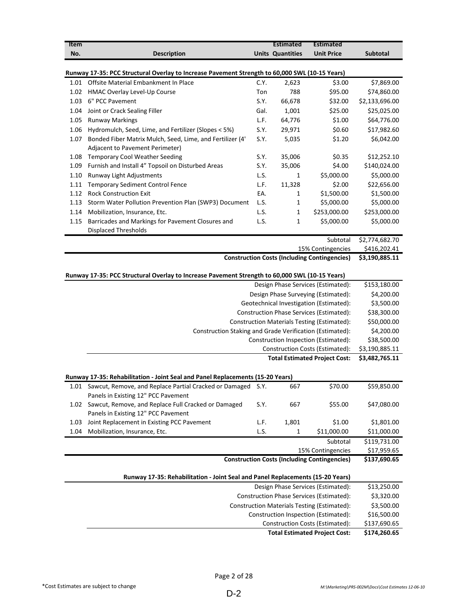| <b>Item</b> |                                                                                                |      | <b>Estimated</b>        | Estimated                                           |                 |
|-------------|------------------------------------------------------------------------------------------------|------|-------------------------|-----------------------------------------------------|-----------------|
| No.         | <b>Description</b>                                                                             |      | <b>Units Quantities</b> | <b>Unit Price</b>                                   | <b>Subtotal</b> |
|             |                                                                                                |      |                         |                                                     |                 |
|             | Runway 17-35: PCC Structural Overlay to Increase Pavement Strength to 60,000 SWL (10-15 Years) |      |                         |                                                     |                 |
| 1.01        | Offsite Material Embankment In Place                                                           | C.Y. | 2,623                   | \$3.00                                              | \$7,869.00      |
| 1.02        | HMAC Overlay Level-Up Course                                                                   | Ton  | 788                     | \$95.00                                             | \$74,860.00     |
| 1.03        | 6" PCC Pavement                                                                                | S.Y. | 66,678                  | \$32.00                                             | \$2,133,696.00  |
| 1.04        | Joint or Crack Sealing Filler                                                                  | Gal. | 1,001                   | \$25.00                                             | \$25,025.00     |
| 1.05        | <b>Runway Markings</b>                                                                         | L.F. | 64,776                  | \$1.00                                              | \$64,776.00     |
| 1.06        | Hydromulch, Seed, Lime, and Fertilizer (Slopes < 5%)                                           | S.Y. | 29,971                  | \$0.60                                              | \$17,982.60     |
| 1.07        | Bonded Fiber Matrix Mulch, Seed, Lime, and Fertilizer (4'                                      | S.Y. | 5,035                   | \$1.20                                              | \$6,042.00      |
|             | Adjacent to Pavement Perimeter)                                                                |      |                         |                                                     |                 |
| 1.08        | <b>Temporary Cool Weather Seeding</b>                                                          | S.Y. | 35,006                  | \$0.35                                              | \$12,252.10     |
| 1.09        | Furnish and Install 4" Topsoil on Disturbed Areas                                              | S.Y. | 35,006                  | \$4.00                                              | \$140,024.00    |
| 1.10        | Runway Light Adjustments                                                                       | L.S. | 1                       | \$5,000.00                                          | \$5,000.00      |
| 1.11        | <b>Temporary Sediment Control Fence</b>                                                        | L.F. | 11,328                  | \$2.00                                              | \$22,656.00     |
| 1.12        | <b>Rock Construction Exit</b>                                                                  | EA.  | 1                       | \$1,500.00                                          | \$1,500.00      |
| 1.13        | Storm Water Pollution Prevention Plan (SWP3) Document                                          | L.S. | 1                       | \$5,000.00                                          | \$5,000.00      |
|             |                                                                                                | L.S. |                         |                                                     |                 |
| 1.14        | Mobilization, Insurance, Etc.                                                                  |      | 1                       | \$253,000.00                                        | \$253,000.00    |
| 1.15        | Barricades and Markings for Pavement Closures and<br><b>Displaced Thresholds</b>               | L.S. | 1                       | \$5,000.00                                          | \$5,000.00      |
|             |                                                                                                |      |                         | Subtotal                                            | \$2,774,682.70  |
|             |                                                                                                |      |                         | 15% Contingencies                                   | \$416,202.41    |
|             |                                                                                                |      |                         | <b>Construction Costs (Including Contingencies)</b> | \$3,190,885.11  |
|             |                                                                                                |      |                         |                                                     |                 |
|             | Runway 17-35: PCC Structural Overlay to Increase Pavement Strength to 60,000 SWL (10-15 Years) |      |                         |                                                     |                 |
|             |                                                                                                |      |                         | Design Phase Services (Estimated):                  | \$153,180.00    |
|             |                                                                                                |      |                         | Design Phase Surveying (Estimated):                 | \$4,200.00      |
|             |                                                                                                |      |                         | Geotechnical Investigation (Estimated):             | \$3,500.00      |
|             |                                                                                                |      |                         | Construction Phase Services (Estimated):            | \$38,300.00     |
|             |                                                                                                |      |                         | Construction Materials Testing (Estimated):         | \$50,000.00     |
|             | Construction Staking and Grade Verification (Estimated):                                       |      |                         |                                                     | \$4,200.00      |
|             |                                                                                                |      |                         | Construction Inspection (Estimated):                | \$38,500.00     |
|             |                                                                                                |      |                         | Construction Costs (Estimated):                     | \$3,190,885.11  |
|             |                                                                                                |      |                         | <b>Total Estimated Project Cost:</b>                | \$3,482,765.11  |
|             |                                                                                                |      |                         |                                                     |                 |
|             | Runway 17-35: Rehabilitation - Joint Seal and Panel Replacements (15-20 Years)                 |      |                         |                                                     |                 |
|             | 1.01 Sawcut, Remove, and Replace Partial Cracked or Damaged                                    | S.Y. | 667                     | \$70.00                                             | \$59,850.00     |
|             | Panels in Existing 12" PCC Pavement                                                            |      |                         |                                                     |                 |
| 1.02        | Sawcut, Remove, and Replace Full Cracked or Damaged                                            | S.Y. | 667                     | \$55.00                                             | \$47,080.00     |
|             | Panels in Existing 12" PCC Pavement                                                            |      |                         |                                                     |                 |
| 1.03        | Joint Replacement in Existing PCC Pavement                                                     | L.F. | 1,801                   | \$1.00                                              | \$1,801.00      |
| 1.04        | Mobilization, Insurance, Etc.                                                                  | L.S. | $\mathbf{1}$            | \$11,000.00                                         | \$11,000.00     |
|             |                                                                                                |      |                         | Subtotal                                            | \$119,731.00    |
|             |                                                                                                |      |                         | 15% Contingencies                                   | \$17,959.65     |
|             |                                                                                                |      |                         | <b>Construction Costs (Including Contingencies)</b> | \$137,690.65    |
|             | Runway 17-35: Rehabilitation - Joint Seal and Panel Replacements (15-20 Years)                 |      |                         |                                                     |                 |
|             |                                                                                                |      |                         | Design Phase Services (Estimated):                  | \$13,250.00     |
|             |                                                                                                |      |                         |                                                     |                 |
|             |                                                                                                |      |                         | Construction Phase Services (Estimated):            | \$3,320.00      |
|             |                                                                                                |      |                         | Construction Materials Testing (Estimated):         | \$3,500.00      |
|             |                                                                                                |      |                         | Construction Inspection (Estimated):                | \$16,500.00     |
|             |                                                                                                |      |                         | Construction Costs (Estimated):                     | \$137,690.65    |
|             |                                                                                                |      |                         | <b>Total Estimated Project Cost:</b>                | \$174,260.65    |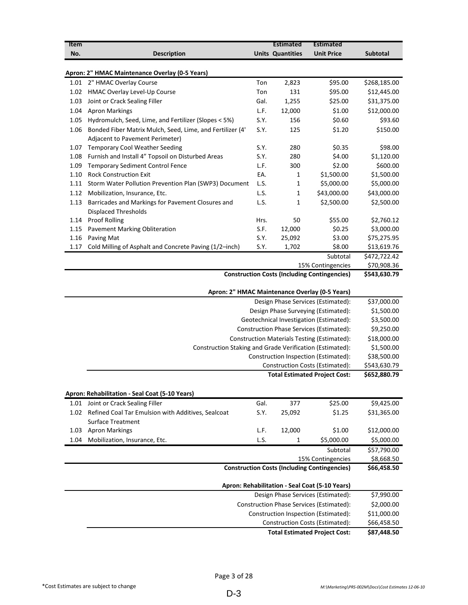| <b>Item</b> |                                                                                              |      | <b>Estimated</b>        | <b>Estimated</b>                                    |              |  |  |
|-------------|----------------------------------------------------------------------------------------------|------|-------------------------|-----------------------------------------------------|--------------|--|--|
| No.         | <b>Description</b>                                                                           |      | <b>Units Quantities</b> | <b>Unit Price</b>                                   | Subtotal     |  |  |
|             | Apron: 2" HMAC Maintenance Overlay (0-5 Years)                                               |      |                         |                                                     |              |  |  |
|             | 1.01 2" HMAC Overlay Course                                                                  | Ton  | 2,823                   | \$95.00                                             | \$268,185.00 |  |  |
| 1.02        | HMAC Overlay Level-Up Course                                                                 | Ton  | 131                     | \$95.00                                             | \$12,445.00  |  |  |
| 1.03        | Joint or Crack Sealing Filler                                                                | Gal. | 1,255                   | \$25.00                                             | \$31,375.00  |  |  |
| 1.04        | <b>Apron Markings</b>                                                                        | L.F. | 12,000                  | \$1.00                                              | \$12,000.00  |  |  |
| 1.05        | Hydromulch, Seed, Lime, and Fertilizer (Slopes < 5%)                                         | S.Y. | 156                     | \$0.60                                              | \$93.60      |  |  |
| 1.06        | Bonded Fiber Matrix Mulch, Seed, Lime, and Fertilizer (4'<br>Adjacent to Pavement Perimeter) | S.Y. | 125                     | \$1.20                                              | \$150.00     |  |  |
| 1.07        | <b>Temporary Cool Weather Seeding</b>                                                        | S.Y. | 280                     | \$0.35                                              | \$98.00      |  |  |
| 1.08        | Furnish and Install 4" Topsoil on Disturbed Areas                                            | S.Y. | 280                     | \$4.00                                              | \$1,120.00   |  |  |
| 1.09        | <b>Temporary Sediment Control Fence</b>                                                      | L.F. | 300                     | \$2.00                                              | \$600.00     |  |  |
| 1.10        | <b>Rock Construction Exit</b>                                                                | EA.  | 1                       | \$1,500.00                                          | \$1,500.00   |  |  |
| 1.11        | Storm Water Pollution Prevention Plan (SWP3) Document                                        | L.S. | 1                       | \$5,000.00                                          | \$5,000.00   |  |  |
| 1.12        | Mobilization, Insurance, Etc.                                                                | L.S. | 1                       | \$43,000.00                                         | \$43,000.00  |  |  |
| 1.13        | Barricades and Markings for Pavement Closures and<br>Displaced Thresholds                    | L.S. | 1                       | \$2,500.00                                          | \$2,500.00   |  |  |
| 1.14        | <b>Proof Rolling</b>                                                                         | Hrs. | 50                      | \$55.00                                             | \$2,760.12   |  |  |
| 1.15        | <b>Pavement Marking Obliteration</b>                                                         | S.F. | 12,000                  | \$0.25                                              | \$3,000.00   |  |  |
| 1.16        | Paving Mat                                                                                   | S.Y. | 25,092                  | \$3.00                                              | \$75,275.95  |  |  |
| 1.17        | Cold Milling of Asphalt and Concrete Paving (1/2-inch)                                       | S.Y. | 1,702                   | \$8.00                                              | \$13,619.76  |  |  |
|             |                                                                                              |      |                         | Subtotal                                            | \$472,722.42 |  |  |
|             |                                                                                              |      |                         | 15% Contingencies                                   | \$70,908.36  |  |  |
|             |                                                                                              |      |                         | <b>Construction Costs (Including Contingencies)</b> | \$543,630.79 |  |  |
|             | Apron: 2" HMAC Maintenance Overlay (0-5 Years)                                               |      |                         |                                                     |              |  |  |
|             |                                                                                              |      |                         | Design Phase Services (Estimated):                  | \$37,000.00  |  |  |
|             |                                                                                              |      |                         | Design Phase Surveying (Estimated):                 | \$1,500.00   |  |  |
|             |                                                                                              |      |                         | Geotechnical Investigation (Estimated):             | \$3,500.00   |  |  |
|             |                                                                                              |      |                         | Construction Phase Services (Estimated):            | \$9,250.00   |  |  |
|             |                                                                                              |      |                         | Construction Materials Testing (Estimated):         | \$18,000.00  |  |  |
|             | Construction Staking and Grade Verification (Estimated):                                     |      |                         |                                                     | \$1,500.00   |  |  |
|             |                                                                                              |      |                         | Construction Inspection (Estimated):                | \$38,500.00  |  |  |
|             |                                                                                              |      |                         | Construction Costs (Estimated):                     | \$543,630.79 |  |  |
|             |                                                                                              |      |                         | <b>Total Estimated Project Cost:</b>                | \$652,880.79 |  |  |
|             | Apron: Rehabilitation - Seal Coat (5-10 Years)                                               |      |                         |                                                     |              |  |  |
| 1.01        | Joint or Crack Sealing Filler                                                                | Gal. | 377                     | \$25.00                                             | \$9,425.00   |  |  |
| 1.02        | Refined Coal Tar Emulsion with Additives, Sealcoat<br><b>Surface Treatment</b>               | S.Y. | 25,092                  | \$1.25                                              | \$31,365.00  |  |  |
| 1.03        | <b>Apron Markings</b>                                                                        | L.F. | 12,000                  | \$1.00                                              | \$12,000.00  |  |  |
| 1.04        | Mobilization, Insurance, Etc.                                                                | L.S. | 1                       | \$5,000.00                                          | \$5,000.00   |  |  |
|             |                                                                                              |      |                         | Subtotal                                            | \$57,790.00  |  |  |
|             |                                                                                              |      |                         | 15% Contingencies                                   | \$8,668.50   |  |  |
|             |                                                                                              |      |                         | <b>Construction Costs (Including Contingencies)</b> | \$66,458.50  |  |  |
|             |                                                                                              |      |                         | Apron: Rehabilitation - Seal Coat (5-10 Years)      |              |  |  |
|             |                                                                                              |      |                         | Design Phase Services (Estimated):                  | \$7,990.00   |  |  |
|             |                                                                                              |      |                         | Construction Phase Services (Estimated):            | \$2,000.00   |  |  |
|             |                                                                                              |      |                         | Construction Inspection (Estimated):                | \$11,000.00  |  |  |
|             |                                                                                              |      |                         | Construction Costs (Estimated):                     | \$66,458.50  |  |  |
|             | <b>Total Estimated Project Cost:</b>                                                         |      |                         |                                                     |              |  |  |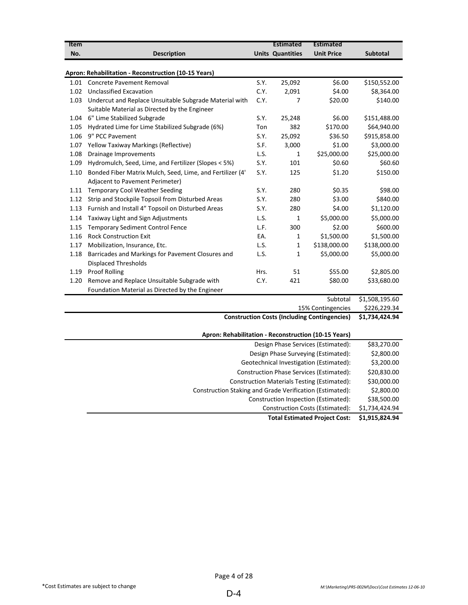| Item                               |                                                                                                         |      | <b>Estimated</b>        | <b>Estimated</b>                                    |                 |  |
|------------------------------------|---------------------------------------------------------------------------------------------------------|------|-------------------------|-----------------------------------------------------|-----------------|--|
| No.                                | <b>Description</b>                                                                                      |      | <b>Units Quantities</b> | <b>Unit Price</b>                                   | <b>Subtotal</b> |  |
|                                    |                                                                                                         |      |                         |                                                     |                 |  |
|                                    | Apron: Rehabilitation - Reconstruction (10-15 Years)                                                    |      |                         |                                                     |                 |  |
| 1.01                               | <b>Concrete Pavement Removal</b>                                                                        | S.Y. | 25,092                  | \$6.00                                              | \$150,552.00    |  |
| 1.02                               | <b>Unclassified Excavation</b>                                                                          | C.Y. | 2,091                   | \$4.00                                              | \$8,364.00      |  |
| 1.03                               | Undercut and Replace Unsuitable Subgrade Material with<br>Suitable Material as Directed by the Engineer | C.Y. | 7                       | \$20.00                                             | \$140.00        |  |
|                                    | 1.04 6" Lime Stabilized Subgrade                                                                        | S.Y. | 25,248                  | \$6.00                                              | \$151,488.00    |  |
| 1.05                               | Hydrated Lime for Lime Stabilized Subgrade (6%)                                                         | Ton  | 382                     | \$170.00                                            | \$64,940.00     |  |
| 1.06                               | 9" PCC Pavement                                                                                         | S.Y. | 25,092                  | \$36.50                                             | \$915,858.00    |  |
| 1.07                               | Yellow Taxiway Markings (Reflective)                                                                    | S.F. | 3,000                   | \$1.00                                              | \$3,000.00      |  |
| 1.08                               | Drainage Improvements                                                                                   | L.S. | 1                       | \$25,000.00                                         | \$25,000.00     |  |
| 1.09                               | Hydromulch, Seed, Lime, and Fertilizer (Slopes < 5%)                                                    | S.Y. | 101                     | \$0.60                                              | \$60.60         |  |
| 1.10                               | Bonded Fiber Matrix Mulch, Seed, Lime, and Fertilizer (4'<br>Adjacent to Pavement Perimeter)            | S.Y. | 125                     | \$1.20                                              | \$150.00        |  |
|                                    | 1.11 Temporary Cool Weather Seeding                                                                     | S.Y. | 280                     | \$0.35                                              | \$98.00         |  |
| 1.12                               | Strip and Stockpile Topsoil from Disturbed Areas                                                        | S.Y. | 280                     | \$3.00                                              | \$840.00        |  |
| 1.13                               | Furnish and Install 4" Topsoil on Disturbed Areas                                                       | S.Y. | 280                     | \$4.00                                              | \$1,120.00      |  |
| 1.14                               | Taxiway Light and Sign Adjustments                                                                      | L.S. | 1                       | \$5,000.00                                          | \$5,000.00      |  |
| 1.15                               | <b>Temporary Sediment Control Fence</b>                                                                 | L.F. | 300                     | \$2.00                                              | \$600.00        |  |
| 1.16                               | <b>Rock Construction Exit</b>                                                                           | EA.  | 1                       | \$1,500.00                                          | \$1,500.00      |  |
| 1.17                               | Mobilization, Insurance, Etc.                                                                           | L.S. | $\mathbf{1}$            | \$138,000.00                                        | \$138,000.00    |  |
| 1.18                               | Barricades and Markings for Pavement Closures and                                                       | L.S. | $\mathbf{1}$            | \$5,000.00                                          | \$5,000.00      |  |
|                                    | <b>Displaced Thresholds</b>                                                                             |      |                         |                                                     |                 |  |
| 1.19                               | <b>Proof Rolling</b>                                                                                    | Hrs. | 51                      | \$55.00                                             | \$2,805.00      |  |
| 1.20                               | Remove and Replace Unsuitable Subgrade with                                                             | C.Y. | 421                     | \$80.00                                             | \$33,680.00     |  |
|                                    | Foundation Material as Directed by the Engineer                                                         |      |                         |                                                     |                 |  |
|                                    |                                                                                                         |      |                         | Subtotal                                            | \$1,508,195.60  |  |
|                                    |                                                                                                         |      |                         | 15% Contingencies                                   | \$226,229.34    |  |
|                                    |                                                                                                         |      |                         | <b>Construction Costs (Including Contingencies)</b> | \$1,734,424.94  |  |
|                                    | Apron: Rehabilitation - Reconstruction (10-15 Years)                                                    |      |                         |                                                     |                 |  |
| Design Phase Services (Estimated): |                                                                                                         |      |                         |                                                     |                 |  |
|                                    |                                                                                                         |      |                         | Design Phase Surveying (Estimated):                 | \$2,800.00      |  |
|                                    |                                                                                                         |      |                         | Geotechnical Investigation (Estimated):             | \$3,200.00      |  |
|                                    |                                                                                                         |      |                         | Construction Phase Services (Estimated):            | \$20,830.00     |  |
|                                    |                                                                                                         |      |                         | <b>Construction Materials Testing (Estimated):</b>  | \$30,000.00     |  |
|                                    | Construction Staking and Grade Verification (Estimated):                                                |      |                         |                                                     | \$2,800.00      |  |
|                                    |                                                                                                         |      |                         | Construction Inspection (Estimated):                | \$38,500.00     |  |
|                                    |                                                                                                         |      |                         | <b>Construction Costs (Estimated):</b>              | \$1,734,424.94  |  |

**Total Estimated Project Cost: \$1,915,824.94**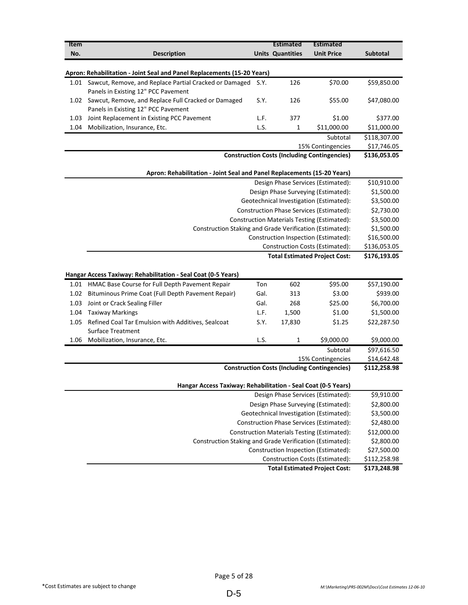| Item |                                                                         |      | <b>Estimated</b>        | <b>Estimated</b>                                    |                             |  |  |
|------|-------------------------------------------------------------------------|------|-------------------------|-----------------------------------------------------|-----------------------------|--|--|
| No.  | <b>Description</b>                                                      |      | <b>Units Quantities</b> | <b>Unit Price</b>                                   | <b>Subtotal</b>             |  |  |
|      |                                                                         |      |                         |                                                     |                             |  |  |
|      | Apron: Rehabilitation - Joint Seal and Panel Replacements (15-20 Years) |      |                         |                                                     |                             |  |  |
|      | 1.01 Sawcut, Remove, and Replace Partial Cracked or Damaged             | S.Y. | 126                     | \$70.00                                             | \$59,850.00                 |  |  |
|      | Panels in Existing 12" PCC Pavement                                     |      |                         |                                                     |                             |  |  |
| 1.02 | Sawcut, Remove, and Replace Full Cracked or Damaged                     | S.Y. | 126                     | \$55.00                                             | \$47,080.00                 |  |  |
|      | Panels in Existing 12" PCC Pavement                                     |      |                         |                                                     |                             |  |  |
| 1.03 | Joint Replacement in Existing PCC Pavement                              | L.F. | 377                     | \$1.00                                              | \$377.00                    |  |  |
| 1.04 | Mobilization, Insurance, Etc.                                           | L.S. | 1                       | \$11,000.00                                         | \$11,000.00                 |  |  |
|      |                                                                         |      |                         | Subtotal                                            | \$118,307.00<br>\$17,746.05 |  |  |
|      |                                                                         |      |                         | 15% Contingencies                                   | \$136,053.05                |  |  |
|      | <b>Construction Costs (Including Contingencies)</b>                     |      |                         |                                                     |                             |  |  |
|      | Apron: Rehabilitation - Joint Seal and Panel Replacements (15-20 Years) |      |                         |                                                     |                             |  |  |
|      |                                                                         |      |                         | Design Phase Services (Estimated):                  | \$10,910.00                 |  |  |
|      |                                                                         |      |                         | Design Phase Surveying (Estimated):                 | \$1,500.00                  |  |  |
|      |                                                                         |      |                         | Geotechnical Investigation (Estimated):             | \$3,500.00                  |  |  |
|      |                                                                         |      |                         | Construction Phase Services (Estimated):            | \$2,730.00                  |  |  |
|      |                                                                         |      |                         | Construction Materials Testing (Estimated):         | \$3,500.00                  |  |  |
|      | Construction Staking and Grade Verification (Estimated):                |      |                         |                                                     | \$1,500.00                  |  |  |
|      |                                                                         |      |                         | Construction Inspection (Estimated):                | \$16,500.00                 |  |  |
|      |                                                                         |      |                         | Construction Costs (Estimated):                     | \$136,053.05                |  |  |
|      |                                                                         |      |                         | <b>Total Estimated Project Cost:</b>                | \$176,193.05                |  |  |
|      | Hangar Access Taxiway: Rehabilitation - Seal Coat (0-5 Years)           |      |                         |                                                     |                             |  |  |
|      | 1.01 HMAC Base Course for Full Depth Pavement Repair                    | Ton  | 602                     | \$95.00                                             | \$57,190.00                 |  |  |
| 1.02 | Bituminous Prime Coat (Full Depth Pavement Repair)                      | Gal. | 313                     | \$3.00                                              | \$939.00                    |  |  |
| 1.03 | Joint or Crack Sealing Filler                                           | Gal. | 268                     | \$25.00                                             | \$6,700.00                  |  |  |
| 1.04 | <b>Taxiway Markings</b>                                                 | L.F. | 1,500                   | \$1.00                                              | \$1,500.00                  |  |  |
| 1.05 | Refined Coal Tar Emulsion with Additives, Sealcoat                      | S.Y. | 17,830                  | \$1.25                                              | \$22,287.50                 |  |  |
|      | <b>Surface Treatment</b>                                                |      |                         |                                                     |                             |  |  |
|      | 1.06 Mobilization, Insurance, Etc.                                      | L.S. | 1                       | \$9,000.00                                          | \$9,000.00                  |  |  |
|      |                                                                         |      |                         | Subtotal                                            | \$97,616.50                 |  |  |
|      |                                                                         |      |                         | 15% Contingencies                                   | \$14,642.48                 |  |  |
|      |                                                                         |      |                         | <b>Construction Costs (Including Contingencies)</b> | \$112,258.98                |  |  |
|      | Hangar Access Taxiway: Rehabilitation - Seal Coat (0-5 Years)           |      |                         |                                                     |                             |  |  |
|      |                                                                         |      |                         | Design Phase Services (Estimated):                  | \$9,910.00                  |  |  |
|      |                                                                         |      |                         | Design Phase Surveying (Estimated):                 | \$2,800.00                  |  |  |
|      |                                                                         |      |                         | Geotechnical Investigation (Estimated):             | \$3,500.00                  |  |  |
|      |                                                                         |      |                         | Construction Phase Services (Estimated):            | \$2,480.00                  |  |  |
|      |                                                                         |      |                         | Construction Materials Testing (Estimated):         | \$12,000.00                 |  |  |
|      | Construction Staking and Grade Verification (Estimated):                |      |                         |                                                     | \$2,800.00                  |  |  |
|      |                                                                         |      |                         | Construction Inspection (Estimated):                | \$27,500.00                 |  |  |
|      |                                                                         |      |                         | <b>Construction Costs (Estimated):</b>              | \$112,258.98                |  |  |
|      |                                                                         |      |                         | <b>Total Estimated Project Cost:</b>                | \$173,248.98                |  |  |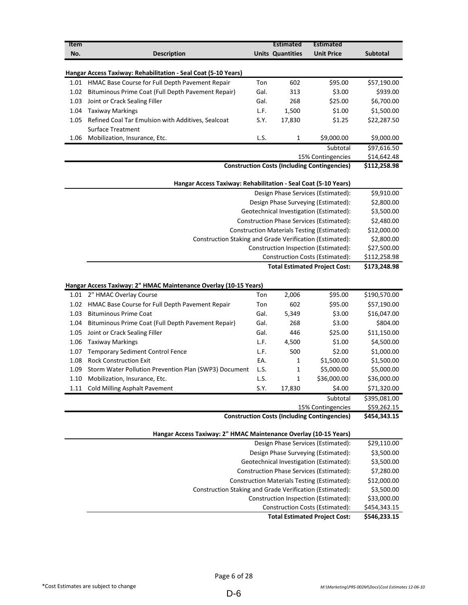| <b>Units Quantities</b><br><b>Unit Price</b><br>No.<br><b>Description</b><br>Subtotal<br><b>Hangar Access Taxiway: Rehabilitation - Seal Coat (5-10 Years)</b><br>HMAC Base Course for Full Depth Pavement Repair<br>602<br>\$95.00<br>\$57,190.00<br>1.01<br>Ton<br>\$939.00<br>Bituminous Prime Coat (Full Depth Pavement Repair)<br>Gal.<br>313<br>\$3.00<br>1.02<br>\$25.00<br>\$6,700.00<br>1.03<br>Joint or Crack Sealing Filler<br>Gal.<br>268<br>L.F.<br>\$1.00<br>\$1,500.00<br>1.04<br><b>Taxiway Markings</b><br>1,500<br>S.Y.<br>Refined Coal Tar Emulsion with Additives, Sealcoat<br>17,830<br>\$1.25<br>\$22,287.50<br>1.05<br><b>Surface Treatment</b><br>L.S.<br>\$9,000.00<br>Mobilization, Insurance, Etc.<br>1<br>\$9,000.00<br>1.06<br>\$97,616.50<br>Subtotal<br>\$14,642.48<br>15% Contingencies<br><b>Construction Costs (Including Contingencies)</b><br>\$112,258.98<br>Hangar Access Taxiway: Rehabilitation - Seal Coat (5-10 Years)<br>\$9,910.00<br>Design Phase Services (Estimated):<br>Design Phase Surveying (Estimated):<br>\$2,800.00<br>Geotechnical Investigation (Estimated):<br>\$3,500.00<br><b>Construction Phase Services (Estimated):</b><br>\$2,480.00<br>Construction Materials Testing (Estimated):<br>\$12,000.00<br>\$2,800.00<br>Construction Staking and Grade Verification (Estimated):<br>Construction Inspection (Estimated):<br>\$27,500.00<br>Construction Costs (Estimated):<br>\$112,258.98<br><b>Total Estimated Project Cost:</b><br>\$173,248.98<br>Hangar Access Taxiway: 2" HMAC Maintenance Overlay (10-15 Years)<br>2" HMAC Overlay Course<br>Ton<br>2,006<br>\$95.00<br>\$190,570.00<br>1.01<br>602<br>\$95.00<br>\$57,190.00<br>HMAC Base Course for Full Depth Pavement Repair<br>Ton<br>1.02<br><b>Bituminous Prime Coat</b><br>\$3.00<br>\$16,047.00<br>1.03<br>Gal.<br>5,349<br>\$3.00<br>\$804.00<br>Bituminous Prime Coat (Full Depth Pavement Repair)<br>Gal.<br>268<br>1.04<br>\$25.00<br>\$11,150.00<br>Joint or Crack Sealing Filler<br>Gal.<br>446<br>1.05<br>\$1.00<br>\$4,500.00<br>1.06<br><b>Taxiway Markings</b><br>L.F.<br>4,500<br>500<br>\$2.00<br>\$1,000.00<br>1.07<br><b>Temporary Sediment Control Fence</b><br>L.F.<br><b>Rock Construction Exit</b><br>\$1,500.00<br>\$1,500.00<br>1.08<br>EA.<br>1<br>Storm Water Pollution Prevention Plan (SWP3) Document<br>L.S.<br>\$5,000.00<br>1<br>\$5,000.00<br>1.09<br>Mobilization, Insurance, Etc.<br>L.S.<br>\$36,000.00<br>\$36,000.00<br>1.10<br>1<br>1.11 Cold Milling Asphalt Pavement<br>S.Y.<br>17,830<br>\$4.00<br>\$71,320.00<br>\$395,081.00<br>Subtotal<br>\$59,262.15<br>15% Contingencies<br><b>Construction Costs (Including Contingencies)</b><br>\$454,343.15<br>Hangar Access Taxiway: 2" HMAC Maintenance Overlay (10-15 Years)<br>Design Phase Services (Estimated):<br>\$29,110.00<br>\$3,500.00<br>Design Phase Surveying (Estimated):<br>\$3,500.00<br>Geotechnical Investigation (Estimated):<br>\$7,280.00<br><b>Construction Phase Services (Estimated):</b><br>\$12,000.00<br>Construction Materials Testing (Estimated):<br>\$3,500.00<br>Construction Staking and Grade Verification (Estimated):<br>\$33,000.00<br>Construction Inspection (Estimated):<br>Construction Costs (Estimated):<br>\$454,343.15<br><b>Total Estimated Project Cost:</b> | Item |  | <b>Estimated</b> | <b>Estimated</b> |              |
|-------------------------------------------------------------------------------------------------------------------------------------------------------------------------------------------------------------------------------------------------------------------------------------------------------------------------------------------------------------------------------------------------------------------------------------------------------------------------------------------------------------------------------------------------------------------------------------------------------------------------------------------------------------------------------------------------------------------------------------------------------------------------------------------------------------------------------------------------------------------------------------------------------------------------------------------------------------------------------------------------------------------------------------------------------------------------------------------------------------------------------------------------------------------------------------------------------------------------------------------------------------------------------------------------------------------------------------------------------------------------------------------------------------------------------------------------------------------------------------------------------------------------------------------------------------------------------------------------------------------------------------------------------------------------------------------------------------------------------------------------------------------------------------------------------------------------------------------------------------------------------------------------------------------------------------------------------------------------------------------------------------------------------------------------------------------------------------------------------------------------------------------------------------------------------------------------------------------------------------------------------------------------------------------------------------------------------------------------------------------------------------------------------------------------------------------------------------------------------------------------------------------------------------------------------------------------------------------------------------------------------------------------------------------------------------------------------------------------------------------------------------------------------------------------------------------------------------------------------------------------------------------------------------------------------------------------------------------------------------------------------------------------------------------------------------------------------------------------------------------------------------------------------------------------------------------------------------------------------------------------------------------------------------------------------------------------|------|--|------------------|------------------|--------------|
|                                                                                                                                                                                                                                                                                                                                                                                                                                                                                                                                                                                                                                                                                                                                                                                                                                                                                                                                                                                                                                                                                                                                                                                                                                                                                                                                                                                                                                                                                                                                                                                                                                                                                                                                                                                                                                                                                                                                                                                                                                                                                                                                                                                                                                                                                                                                                                                                                                                                                                                                                                                                                                                                                                                                                                                                                                                                                                                                                                                                                                                                                                                                                                                                                                                                                                                         |      |  |                  |                  |              |
|                                                                                                                                                                                                                                                                                                                                                                                                                                                                                                                                                                                                                                                                                                                                                                                                                                                                                                                                                                                                                                                                                                                                                                                                                                                                                                                                                                                                                                                                                                                                                                                                                                                                                                                                                                                                                                                                                                                                                                                                                                                                                                                                                                                                                                                                                                                                                                                                                                                                                                                                                                                                                                                                                                                                                                                                                                                                                                                                                                                                                                                                                                                                                                                                                                                                                                                         |      |  |                  |                  |              |
|                                                                                                                                                                                                                                                                                                                                                                                                                                                                                                                                                                                                                                                                                                                                                                                                                                                                                                                                                                                                                                                                                                                                                                                                                                                                                                                                                                                                                                                                                                                                                                                                                                                                                                                                                                                                                                                                                                                                                                                                                                                                                                                                                                                                                                                                                                                                                                                                                                                                                                                                                                                                                                                                                                                                                                                                                                                                                                                                                                                                                                                                                                                                                                                                                                                                                                                         |      |  |                  |                  |              |
|                                                                                                                                                                                                                                                                                                                                                                                                                                                                                                                                                                                                                                                                                                                                                                                                                                                                                                                                                                                                                                                                                                                                                                                                                                                                                                                                                                                                                                                                                                                                                                                                                                                                                                                                                                                                                                                                                                                                                                                                                                                                                                                                                                                                                                                                                                                                                                                                                                                                                                                                                                                                                                                                                                                                                                                                                                                                                                                                                                                                                                                                                                                                                                                                                                                                                                                         |      |  |                  |                  |              |
|                                                                                                                                                                                                                                                                                                                                                                                                                                                                                                                                                                                                                                                                                                                                                                                                                                                                                                                                                                                                                                                                                                                                                                                                                                                                                                                                                                                                                                                                                                                                                                                                                                                                                                                                                                                                                                                                                                                                                                                                                                                                                                                                                                                                                                                                                                                                                                                                                                                                                                                                                                                                                                                                                                                                                                                                                                                                                                                                                                                                                                                                                                                                                                                                                                                                                                                         |      |  |                  |                  |              |
|                                                                                                                                                                                                                                                                                                                                                                                                                                                                                                                                                                                                                                                                                                                                                                                                                                                                                                                                                                                                                                                                                                                                                                                                                                                                                                                                                                                                                                                                                                                                                                                                                                                                                                                                                                                                                                                                                                                                                                                                                                                                                                                                                                                                                                                                                                                                                                                                                                                                                                                                                                                                                                                                                                                                                                                                                                                                                                                                                                                                                                                                                                                                                                                                                                                                                                                         |      |  |                  |                  |              |
|                                                                                                                                                                                                                                                                                                                                                                                                                                                                                                                                                                                                                                                                                                                                                                                                                                                                                                                                                                                                                                                                                                                                                                                                                                                                                                                                                                                                                                                                                                                                                                                                                                                                                                                                                                                                                                                                                                                                                                                                                                                                                                                                                                                                                                                                                                                                                                                                                                                                                                                                                                                                                                                                                                                                                                                                                                                                                                                                                                                                                                                                                                                                                                                                                                                                                                                         |      |  |                  |                  |              |
|                                                                                                                                                                                                                                                                                                                                                                                                                                                                                                                                                                                                                                                                                                                                                                                                                                                                                                                                                                                                                                                                                                                                                                                                                                                                                                                                                                                                                                                                                                                                                                                                                                                                                                                                                                                                                                                                                                                                                                                                                                                                                                                                                                                                                                                                                                                                                                                                                                                                                                                                                                                                                                                                                                                                                                                                                                                                                                                                                                                                                                                                                                                                                                                                                                                                                                                         |      |  |                  |                  |              |
|                                                                                                                                                                                                                                                                                                                                                                                                                                                                                                                                                                                                                                                                                                                                                                                                                                                                                                                                                                                                                                                                                                                                                                                                                                                                                                                                                                                                                                                                                                                                                                                                                                                                                                                                                                                                                                                                                                                                                                                                                                                                                                                                                                                                                                                                                                                                                                                                                                                                                                                                                                                                                                                                                                                                                                                                                                                                                                                                                                                                                                                                                                                                                                                                                                                                                                                         |      |  |                  |                  |              |
|                                                                                                                                                                                                                                                                                                                                                                                                                                                                                                                                                                                                                                                                                                                                                                                                                                                                                                                                                                                                                                                                                                                                                                                                                                                                                                                                                                                                                                                                                                                                                                                                                                                                                                                                                                                                                                                                                                                                                                                                                                                                                                                                                                                                                                                                                                                                                                                                                                                                                                                                                                                                                                                                                                                                                                                                                                                                                                                                                                                                                                                                                                                                                                                                                                                                                                                         |      |  |                  |                  |              |
|                                                                                                                                                                                                                                                                                                                                                                                                                                                                                                                                                                                                                                                                                                                                                                                                                                                                                                                                                                                                                                                                                                                                                                                                                                                                                                                                                                                                                                                                                                                                                                                                                                                                                                                                                                                                                                                                                                                                                                                                                                                                                                                                                                                                                                                                                                                                                                                                                                                                                                                                                                                                                                                                                                                                                                                                                                                                                                                                                                                                                                                                                                                                                                                                                                                                                                                         |      |  |                  |                  |              |
|                                                                                                                                                                                                                                                                                                                                                                                                                                                                                                                                                                                                                                                                                                                                                                                                                                                                                                                                                                                                                                                                                                                                                                                                                                                                                                                                                                                                                                                                                                                                                                                                                                                                                                                                                                                                                                                                                                                                                                                                                                                                                                                                                                                                                                                                                                                                                                                                                                                                                                                                                                                                                                                                                                                                                                                                                                                                                                                                                                                                                                                                                                                                                                                                                                                                                                                         |      |  |                  |                  |              |
|                                                                                                                                                                                                                                                                                                                                                                                                                                                                                                                                                                                                                                                                                                                                                                                                                                                                                                                                                                                                                                                                                                                                                                                                                                                                                                                                                                                                                                                                                                                                                                                                                                                                                                                                                                                                                                                                                                                                                                                                                                                                                                                                                                                                                                                                                                                                                                                                                                                                                                                                                                                                                                                                                                                                                                                                                                                                                                                                                                                                                                                                                                                                                                                                                                                                                                                         |      |  |                  |                  |              |
|                                                                                                                                                                                                                                                                                                                                                                                                                                                                                                                                                                                                                                                                                                                                                                                                                                                                                                                                                                                                                                                                                                                                                                                                                                                                                                                                                                                                                                                                                                                                                                                                                                                                                                                                                                                                                                                                                                                                                                                                                                                                                                                                                                                                                                                                                                                                                                                                                                                                                                                                                                                                                                                                                                                                                                                                                                                                                                                                                                                                                                                                                                                                                                                                                                                                                                                         |      |  |                  |                  |              |
|                                                                                                                                                                                                                                                                                                                                                                                                                                                                                                                                                                                                                                                                                                                                                                                                                                                                                                                                                                                                                                                                                                                                                                                                                                                                                                                                                                                                                                                                                                                                                                                                                                                                                                                                                                                                                                                                                                                                                                                                                                                                                                                                                                                                                                                                                                                                                                                                                                                                                                                                                                                                                                                                                                                                                                                                                                                                                                                                                                                                                                                                                                                                                                                                                                                                                                                         |      |  |                  |                  |              |
|                                                                                                                                                                                                                                                                                                                                                                                                                                                                                                                                                                                                                                                                                                                                                                                                                                                                                                                                                                                                                                                                                                                                                                                                                                                                                                                                                                                                                                                                                                                                                                                                                                                                                                                                                                                                                                                                                                                                                                                                                                                                                                                                                                                                                                                                                                                                                                                                                                                                                                                                                                                                                                                                                                                                                                                                                                                                                                                                                                                                                                                                                                                                                                                                                                                                                                                         |      |  |                  |                  |              |
|                                                                                                                                                                                                                                                                                                                                                                                                                                                                                                                                                                                                                                                                                                                                                                                                                                                                                                                                                                                                                                                                                                                                                                                                                                                                                                                                                                                                                                                                                                                                                                                                                                                                                                                                                                                                                                                                                                                                                                                                                                                                                                                                                                                                                                                                                                                                                                                                                                                                                                                                                                                                                                                                                                                                                                                                                                                                                                                                                                                                                                                                                                                                                                                                                                                                                                                         |      |  |                  |                  |              |
|                                                                                                                                                                                                                                                                                                                                                                                                                                                                                                                                                                                                                                                                                                                                                                                                                                                                                                                                                                                                                                                                                                                                                                                                                                                                                                                                                                                                                                                                                                                                                                                                                                                                                                                                                                                                                                                                                                                                                                                                                                                                                                                                                                                                                                                                                                                                                                                                                                                                                                                                                                                                                                                                                                                                                                                                                                                                                                                                                                                                                                                                                                                                                                                                                                                                                                                         |      |  |                  |                  |              |
|                                                                                                                                                                                                                                                                                                                                                                                                                                                                                                                                                                                                                                                                                                                                                                                                                                                                                                                                                                                                                                                                                                                                                                                                                                                                                                                                                                                                                                                                                                                                                                                                                                                                                                                                                                                                                                                                                                                                                                                                                                                                                                                                                                                                                                                                                                                                                                                                                                                                                                                                                                                                                                                                                                                                                                                                                                                                                                                                                                                                                                                                                                                                                                                                                                                                                                                         |      |  |                  |                  |              |
|                                                                                                                                                                                                                                                                                                                                                                                                                                                                                                                                                                                                                                                                                                                                                                                                                                                                                                                                                                                                                                                                                                                                                                                                                                                                                                                                                                                                                                                                                                                                                                                                                                                                                                                                                                                                                                                                                                                                                                                                                                                                                                                                                                                                                                                                                                                                                                                                                                                                                                                                                                                                                                                                                                                                                                                                                                                                                                                                                                                                                                                                                                                                                                                                                                                                                                                         |      |  |                  |                  |              |
|                                                                                                                                                                                                                                                                                                                                                                                                                                                                                                                                                                                                                                                                                                                                                                                                                                                                                                                                                                                                                                                                                                                                                                                                                                                                                                                                                                                                                                                                                                                                                                                                                                                                                                                                                                                                                                                                                                                                                                                                                                                                                                                                                                                                                                                                                                                                                                                                                                                                                                                                                                                                                                                                                                                                                                                                                                                                                                                                                                                                                                                                                                                                                                                                                                                                                                                         |      |  |                  |                  |              |
|                                                                                                                                                                                                                                                                                                                                                                                                                                                                                                                                                                                                                                                                                                                                                                                                                                                                                                                                                                                                                                                                                                                                                                                                                                                                                                                                                                                                                                                                                                                                                                                                                                                                                                                                                                                                                                                                                                                                                                                                                                                                                                                                                                                                                                                                                                                                                                                                                                                                                                                                                                                                                                                                                                                                                                                                                                                                                                                                                                                                                                                                                                                                                                                                                                                                                                                         |      |  |                  |                  |              |
|                                                                                                                                                                                                                                                                                                                                                                                                                                                                                                                                                                                                                                                                                                                                                                                                                                                                                                                                                                                                                                                                                                                                                                                                                                                                                                                                                                                                                                                                                                                                                                                                                                                                                                                                                                                                                                                                                                                                                                                                                                                                                                                                                                                                                                                                                                                                                                                                                                                                                                                                                                                                                                                                                                                                                                                                                                                                                                                                                                                                                                                                                                                                                                                                                                                                                                                         |      |  |                  |                  |              |
|                                                                                                                                                                                                                                                                                                                                                                                                                                                                                                                                                                                                                                                                                                                                                                                                                                                                                                                                                                                                                                                                                                                                                                                                                                                                                                                                                                                                                                                                                                                                                                                                                                                                                                                                                                                                                                                                                                                                                                                                                                                                                                                                                                                                                                                                                                                                                                                                                                                                                                                                                                                                                                                                                                                                                                                                                                                                                                                                                                                                                                                                                                                                                                                                                                                                                                                         |      |  |                  |                  |              |
|                                                                                                                                                                                                                                                                                                                                                                                                                                                                                                                                                                                                                                                                                                                                                                                                                                                                                                                                                                                                                                                                                                                                                                                                                                                                                                                                                                                                                                                                                                                                                                                                                                                                                                                                                                                                                                                                                                                                                                                                                                                                                                                                                                                                                                                                                                                                                                                                                                                                                                                                                                                                                                                                                                                                                                                                                                                                                                                                                                                                                                                                                                                                                                                                                                                                                                                         |      |  |                  |                  |              |
|                                                                                                                                                                                                                                                                                                                                                                                                                                                                                                                                                                                                                                                                                                                                                                                                                                                                                                                                                                                                                                                                                                                                                                                                                                                                                                                                                                                                                                                                                                                                                                                                                                                                                                                                                                                                                                                                                                                                                                                                                                                                                                                                                                                                                                                                                                                                                                                                                                                                                                                                                                                                                                                                                                                                                                                                                                                                                                                                                                                                                                                                                                                                                                                                                                                                                                                         |      |  |                  |                  |              |
|                                                                                                                                                                                                                                                                                                                                                                                                                                                                                                                                                                                                                                                                                                                                                                                                                                                                                                                                                                                                                                                                                                                                                                                                                                                                                                                                                                                                                                                                                                                                                                                                                                                                                                                                                                                                                                                                                                                                                                                                                                                                                                                                                                                                                                                                                                                                                                                                                                                                                                                                                                                                                                                                                                                                                                                                                                                                                                                                                                                                                                                                                                                                                                                                                                                                                                                         |      |  |                  |                  |              |
|                                                                                                                                                                                                                                                                                                                                                                                                                                                                                                                                                                                                                                                                                                                                                                                                                                                                                                                                                                                                                                                                                                                                                                                                                                                                                                                                                                                                                                                                                                                                                                                                                                                                                                                                                                                                                                                                                                                                                                                                                                                                                                                                                                                                                                                                                                                                                                                                                                                                                                                                                                                                                                                                                                                                                                                                                                                                                                                                                                                                                                                                                                                                                                                                                                                                                                                         |      |  |                  |                  |              |
|                                                                                                                                                                                                                                                                                                                                                                                                                                                                                                                                                                                                                                                                                                                                                                                                                                                                                                                                                                                                                                                                                                                                                                                                                                                                                                                                                                                                                                                                                                                                                                                                                                                                                                                                                                                                                                                                                                                                                                                                                                                                                                                                                                                                                                                                                                                                                                                                                                                                                                                                                                                                                                                                                                                                                                                                                                                                                                                                                                                                                                                                                                                                                                                                                                                                                                                         |      |  |                  |                  |              |
|                                                                                                                                                                                                                                                                                                                                                                                                                                                                                                                                                                                                                                                                                                                                                                                                                                                                                                                                                                                                                                                                                                                                                                                                                                                                                                                                                                                                                                                                                                                                                                                                                                                                                                                                                                                                                                                                                                                                                                                                                                                                                                                                                                                                                                                                                                                                                                                                                                                                                                                                                                                                                                                                                                                                                                                                                                                                                                                                                                                                                                                                                                                                                                                                                                                                                                                         |      |  |                  |                  |              |
|                                                                                                                                                                                                                                                                                                                                                                                                                                                                                                                                                                                                                                                                                                                                                                                                                                                                                                                                                                                                                                                                                                                                                                                                                                                                                                                                                                                                                                                                                                                                                                                                                                                                                                                                                                                                                                                                                                                                                                                                                                                                                                                                                                                                                                                                                                                                                                                                                                                                                                                                                                                                                                                                                                                                                                                                                                                                                                                                                                                                                                                                                                                                                                                                                                                                                                                         |      |  |                  |                  |              |
|                                                                                                                                                                                                                                                                                                                                                                                                                                                                                                                                                                                                                                                                                                                                                                                                                                                                                                                                                                                                                                                                                                                                                                                                                                                                                                                                                                                                                                                                                                                                                                                                                                                                                                                                                                                                                                                                                                                                                                                                                                                                                                                                                                                                                                                                                                                                                                                                                                                                                                                                                                                                                                                                                                                                                                                                                                                                                                                                                                                                                                                                                                                                                                                                                                                                                                                         |      |  |                  |                  |              |
|                                                                                                                                                                                                                                                                                                                                                                                                                                                                                                                                                                                                                                                                                                                                                                                                                                                                                                                                                                                                                                                                                                                                                                                                                                                                                                                                                                                                                                                                                                                                                                                                                                                                                                                                                                                                                                                                                                                                                                                                                                                                                                                                                                                                                                                                                                                                                                                                                                                                                                                                                                                                                                                                                                                                                                                                                                                                                                                                                                                                                                                                                                                                                                                                                                                                                                                         |      |  |                  |                  |              |
|                                                                                                                                                                                                                                                                                                                                                                                                                                                                                                                                                                                                                                                                                                                                                                                                                                                                                                                                                                                                                                                                                                                                                                                                                                                                                                                                                                                                                                                                                                                                                                                                                                                                                                                                                                                                                                                                                                                                                                                                                                                                                                                                                                                                                                                                                                                                                                                                                                                                                                                                                                                                                                                                                                                                                                                                                                                                                                                                                                                                                                                                                                                                                                                                                                                                                                                         |      |  |                  |                  |              |
|                                                                                                                                                                                                                                                                                                                                                                                                                                                                                                                                                                                                                                                                                                                                                                                                                                                                                                                                                                                                                                                                                                                                                                                                                                                                                                                                                                                                                                                                                                                                                                                                                                                                                                                                                                                                                                                                                                                                                                                                                                                                                                                                                                                                                                                                                                                                                                                                                                                                                                                                                                                                                                                                                                                                                                                                                                                                                                                                                                                                                                                                                                                                                                                                                                                                                                                         |      |  |                  |                  |              |
|                                                                                                                                                                                                                                                                                                                                                                                                                                                                                                                                                                                                                                                                                                                                                                                                                                                                                                                                                                                                                                                                                                                                                                                                                                                                                                                                                                                                                                                                                                                                                                                                                                                                                                                                                                                                                                                                                                                                                                                                                                                                                                                                                                                                                                                                                                                                                                                                                                                                                                                                                                                                                                                                                                                                                                                                                                                                                                                                                                                                                                                                                                                                                                                                                                                                                                                         |      |  |                  |                  |              |
|                                                                                                                                                                                                                                                                                                                                                                                                                                                                                                                                                                                                                                                                                                                                                                                                                                                                                                                                                                                                                                                                                                                                                                                                                                                                                                                                                                                                                                                                                                                                                                                                                                                                                                                                                                                                                                                                                                                                                                                                                                                                                                                                                                                                                                                                                                                                                                                                                                                                                                                                                                                                                                                                                                                                                                                                                                                                                                                                                                                                                                                                                                                                                                                                                                                                                                                         |      |  |                  |                  |              |
|                                                                                                                                                                                                                                                                                                                                                                                                                                                                                                                                                                                                                                                                                                                                                                                                                                                                                                                                                                                                                                                                                                                                                                                                                                                                                                                                                                                                                                                                                                                                                                                                                                                                                                                                                                                                                                                                                                                                                                                                                                                                                                                                                                                                                                                                                                                                                                                                                                                                                                                                                                                                                                                                                                                                                                                                                                                                                                                                                                                                                                                                                                                                                                                                                                                                                                                         |      |  |                  |                  |              |
|                                                                                                                                                                                                                                                                                                                                                                                                                                                                                                                                                                                                                                                                                                                                                                                                                                                                                                                                                                                                                                                                                                                                                                                                                                                                                                                                                                                                                                                                                                                                                                                                                                                                                                                                                                                                                                                                                                                                                                                                                                                                                                                                                                                                                                                                                                                                                                                                                                                                                                                                                                                                                                                                                                                                                                                                                                                                                                                                                                                                                                                                                                                                                                                                                                                                                                                         |      |  |                  |                  |              |
|                                                                                                                                                                                                                                                                                                                                                                                                                                                                                                                                                                                                                                                                                                                                                                                                                                                                                                                                                                                                                                                                                                                                                                                                                                                                                                                                                                                                                                                                                                                                                                                                                                                                                                                                                                                                                                                                                                                                                                                                                                                                                                                                                                                                                                                                                                                                                                                                                                                                                                                                                                                                                                                                                                                                                                                                                                                                                                                                                                                                                                                                                                                                                                                                                                                                                                                         |      |  |                  |                  |              |
|                                                                                                                                                                                                                                                                                                                                                                                                                                                                                                                                                                                                                                                                                                                                                                                                                                                                                                                                                                                                                                                                                                                                                                                                                                                                                                                                                                                                                                                                                                                                                                                                                                                                                                                                                                                                                                                                                                                                                                                                                                                                                                                                                                                                                                                                                                                                                                                                                                                                                                                                                                                                                                                                                                                                                                                                                                                                                                                                                                                                                                                                                                                                                                                                                                                                                                                         |      |  |                  |                  |              |
|                                                                                                                                                                                                                                                                                                                                                                                                                                                                                                                                                                                                                                                                                                                                                                                                                                                                                                                                                                                                                                                                                                                                                                                                                                                                                                                                                                                                                                                                                                                                                                                                                                                                                                                                                                                                                                                                                                                                                                                                                                                                                                                                                                                                                                                                                                                                                                                                                                                                                                                                                                                                                                                                                                                                                                                                                                                                                                                                                                                                                                                                                                                                                                                                                                                                                                                         |      |  |                  |                  |              |
|                                                                                                                                                                                                                                                                                                                                                                                                                                                                                                                                                                                                                                                                                                                                                                                                                                                                                                                                                                                                                                                                                                                                                                                                                                                                                                                                                                                                                                                                                                                                                                                                                                                                                                                                                                                                                                                                                                                                                                                                                                                                                                                                                                                                                                                                                                                                                                                                                                                                                                                                                                                                                                                                                                                                                                                                                                                                                                                                                                                                                                                                                                                                                                                                                                                                                                                         |      |  |                  |                  |              |
|                                                                                                                                                                                                                                                                                                                                                                                                                                                                                                                                                                                                                                                                                                                                                                                                                                                                                                                                                                                                                                                                                                                                                                                                                                                                                                                                                                                                                                                                                                                                                                                                                                                                                                                                                                                                                                                                                                                                                                                                                                                                                                                                                                                                                                                                                                                                                                                                                                                                                                                                                                                                                                                                                                                                                                                                                                                                                                                                                                                                                                                                                                                                                                                                                                                                                                                         |      |  |                  |                  |              |
|                                                                                                                                                                                                                                                                                                                                                                                                                                                                                                                                                                                                                                                                                                                                                                                                                                                                                                                                                                                                                                                                                                                                                                                                                                                                                                                                                                                                                                                                                                                                                                                                                                                                                                                                                                                                                                                                                                                                                                                                                                                                                                                                                                                                                                                                                                                                                                                                                                                                                                                                                                                                                                                                                                                                                                                                                                                                                                                                                                                                                                                                                                                                                                                                                                                                                                                         |      |  |                  |                  | \$546,233.15 |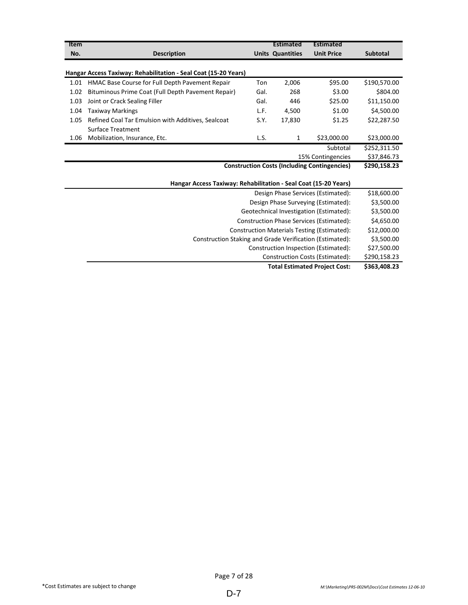| Item |                                                                 |      | <b>Estimated</b>        | <b>Estimated</b>                                    |                 |
|------|-----------------------------------------------------------------|------|-------------------------|-----------------------------------------------------|-----------------|
| No.  | <b>Description</b>                                              |      | <b>Units Quantities</b> | <b>Unit Price</b>                                   | <b>Subtotal</b> |
|      |                                                                 |      |                         |                                                     |                 |
|      | Hangar Access Taxiway: Rehabilitation - Seal Coat (15-20 Years) |      |                         |                                                     |                 |
| 1.01 | HMAC Base Course for Full Depth Pavement Repair                 | Ton  | 2,006                   | \$95.00                                             | \$190,570.00    |
| 1.02 | Bituminous Prime Coat (Full Depth Pavement Repair)              | Gal. | 268                     | \$3.00                                              | \$804.00        |
| 1.03 | Joint or Crack Sealing Filler                                   | Gal. | 446                     | \$25.00                                             | \$11,150.00     |
| 1.04 | <b>Taxiway Markings</b>                                         | L.F. | 4,500                   | \$1.00                                              | \$4,500.00      |
| 1.05 | Refined Coal Tar Emulsion with Additives, Sealcoat              | S.Y. | 17,830                  | \$1.25                                              | \$22,287.50     |
|      | <b>Surface Treatment</b>                                        |      |                         |                                                     |                 |
| 1.06 | Mobilization, Insurance, Etc.                                   | L.S. | $\mathbf{1}$            | \$23,000.00                                         | \$23,000.00     |
|      |                                                                 |      |                         | Subtotal                                            | \$252,311.50    |
|      |                                                                 |      |                         | 15% Contingencies                                   | \$37,846.73     |
|      |                                                                 |      |                         | <b>Construction Costs (Including Contingencies)</b> | \$290,158.23    |
|      |                                                                 |      |                         |                                                     |                 |
|      | Hangar Access Taxiway: Rehabilitation - Seal Coat (15-20 Years) |      |                         |                                                     |                 |
|      |                                                                 |      |                         | Design Phase Services (Estimated):                  | \$18,600.00     |
|      |                                                                 |      |                         | Design Phase Surveying (Estimated):                 | \$3,500.00      |
|      |                                                                 |      |                         | Geotechnical Investigation (Estimated):             | \$3,500.00      |
|      |                                                                 |      |                         | <b>Construction Phase Services (Estimated):</b>     | \$4,650.00      |
|      |                                                                 |      |                         | <b>Construction Materials Testing (Estimated):</b>  | \$12,000.00     |
|      | Construction Staking and Grade Verification (Estimated):        |      |                         |                                                     | \$3,500.00      |
|      |                                                                 |      |                         | Construction Inspection (Estimated):                | \$27,500.00     |
|      |                                                                 |      |                         | Construction Costs (Estimated):                     | \$290,158.23    |
|      |                                                                 |      |                         | <b>Total Estimated Project Cost:</b>                | \$363,408.23    |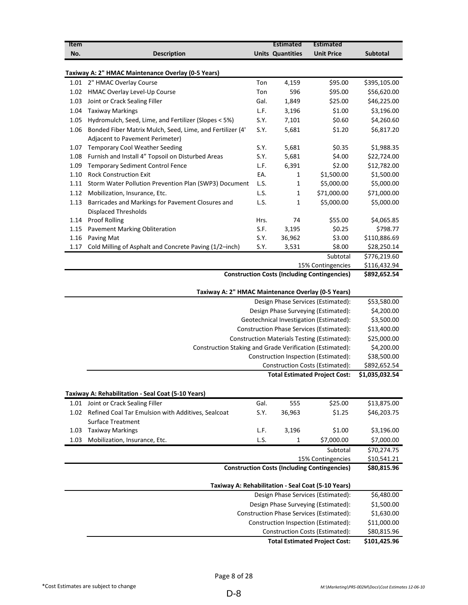| <b>Item</b> |                                                                              |      | <b>Estimated</b>        | Estimated                                                                       |                          |
|-------------|------------------------------------------------------------------------------|------|-------------------------|---------------------------------------------------------------------------------|--------------------------|
| No.         | <b>Description</b>                                                           |      | <b>Units Quantities</b> | <b>Unit Price</b>                                                               | <b>Subtotal</b>          |
|             |                                                                              |      |                         |                                                                                 |                          |
| 1.01        | Taxiway A: 2" HMAC Maintenance Overlay (0-5 Years)<br>2" HMAC Overlay Course | Ton  | 4,159                   | \$95.00                                                                         | \$395,105.00             |
| 1.02        | HMAC Overlay Level-Up Course                                                 | Ton  | 596                     | \$95.00                                                                         | \$56,620.00              |
| 1.03        | Joint or Crack Sealing Filler                                                | Gal. | 1,849                   | \$25.00                                                                         | \$46,225.00              |
| 1.04        | <b>Taxiway Markings</b>                                                      | L.F. | 3,196                   | \$1.00                                                                          | \$3,196.00               |
| 1.05        | Hydromulch, Seed, Lime, and Fertilizer (Slopes < 5%)                         | S.Y. | 7,101                   | \$0.60                                                                          | \$4,260.60               |
| 1.06        | Bonded Fiber Matrix Mulch, Seed, Lime, and Fertilizer (4'                    | S.Y. | 5,681                   | \$1.20                                                                          | \$6,817.20               |
|             | Adjacent to Pavement Perimeter)                                              |      |                         |                                                                                 |                          |
| 1.07        | <b>Temporary Cool Weather Seeding</b>                                        | S.Y. | 5,681                   | \$0.35                                                                          | \$1,988.35               |
| 1.08        | Furnish and Install 4" Topsoil on Disturbed Areas                            | S.Y. | 5,681                   | \$4.00                                                                          | \$22,724.00              |
| 1.09        | <b>Temporary Sediment Control Fence</b>                                      | L.F. | 6,391                   | \$2.00                                                                          | \$12,782.00              |
| 1.10        | <b>Rock Construction Exit</b>                                                | EA.  | 1                       | \$1,500.00                                                                      | \$1,500.00               |
| 1.11        | Storm Water Pollution Prevention Plan (SWP3) Document                        | L.S. | 1                       | \$5,000.00                                                                      | \$5,000.00               |
| 1.12        | Mobilization, Insurance, Etc.                                                | L.S. | 1                       | \$71,000.00                                                                     | \$71,000.00              |
| 1.13        | Barricades and Markings for Pavement Closures and<br>Displaced Thresholds    | L.S. | 1                       | \$5,000.00                                                                      | \$5,000.00               |
| 1.14        | <b>Proof Rolling</b>                                                         | Hrs. | 74                      | \$55.00                                                                         | \$4,065.85               |
| 1.15        | <b>Pavement Marking Obliteration</b>                                         | S.F. | 3,195                   | \$0.25                                                                          | \$798.77                 |
| 1.16        | Paving Mat                                                                   | S.Y. | 36,962                  | \$3.00                                                                          | \$110,886.69             |
| 1.17        | Cold Milling of Asphalt and Concrete Paving (1/2-inch)                       | S.Y. | 3,531                   | \$8.00                                                                          | \$28,250.14              |
|             |                                                                              |      |                         | Subtotal                                                                        | \$776,219.60             |
|             |                                                                              |      |                         | 15% Contingencies                                                               | \$116,432.94             |
|             |                                                                              |      |                         | <b>Construction Costs (Including Contingencies)</b>                             | \$892,652.54             |
|             | Taxiway A: 2" HMAC Maintenance Overlay (0-5 Years)                           |      |                         |                                                                                 |                          |
|             |                                                                              |      |                         | Design Phase Services (Estimated):                                              | \$53,580.00              |
|             |                                                                              |      |                         | Design Phase Surveying (Estimated):                                             | \$4,200.00               |
|             |                                                                              |      |                         | Geotechnical Investigation (Estimated):                                         | \$3,500.00               |
|             |                                                                              |      |                         | Construction Phase Services (Estimated):                                        | \$13,400.00              |
|             |                                                                              |      |                         | Construction Materials Testing (Estimated):                                     | \$25,000.00              |
|             | Construction Staking and Grade Verification (Estimated):                     |      |                         |                                                                                 | \$4,200.00               |
|             |                                                                              |      |                         | Construction Inspection (Estimated):                                            | \$38,500.00              |
|             |                                                                              |      |                         | Construction Costs (Estimated):                                                 | \$892,652.54             |
|             |                                                                              |      |                         | <b>Total Estimated Project Cost:</b>                                            | \$1,035,032.54           |
|             | Taxiway A: Rehabilitation - Seal Coat (5-10 Years)                           |      |                         |                                                                                 |                          |
|             | 1.01 Joint or Crack Sealing Filler                                           | Gal. | 555                     | \$25.00                                                                         | \$13,875.00              |
| 1.02        | Refined Coal Tar Emulsion with Additives, Sealcoat                           | S.Y. | 36,963                  | \$1.25                                                                          | \$46,203.75              |
|             | <b>Surface Treatment</b>                                                     |      |                         |                                                                                 |                          |
| 1.03        | <b>Taxiway Markings</b>                                                      | L.F. | 3,196                   | \$1.00                                                                          | \$3,196.00               |
| 1.03        | Mobilization, Insurance, Etc.                                                | L.S. | 1                       | \$7,000.00                                                                      | \$7,000.00               |
|             |                                                                              |      |                         | Subtotal                                                                        | \$70,274.75              |
|             |                                                                              |      |                         | 15% Contingencies                                                               | \$10,541.21              |
|             |                                                                              |      |                         | <b>Construction Costs (Including Contingencies)</b>                             | \$80,815.96              |
|             |                                                                              |      |                         | Taxiway A: Rehabilitation - Seal Coat (5-10 Years)                              |                          |
|             |                                                                              |      |                         | Design Phase Services (Estimated):                                              | \$6,480.00               |
|             |                                                                              |      |                         |                                                                                 |                          |
|             |                                                                              |      |                         | Design Phase Surveying (Estimated):<br>Construction Phase Services (Estimated): | \$1,500.00<br>\$1,630.00 |
|             |                                                                              |      |                         |                                                                                 |                          |
|             |                                                                              |      |                         | Construction Inspection (Estimated):<br><b>Construction Costs (Estimated):</b>  | \$11,000.00              |
|             |                                                                              |      |                         |                                                                                 | \$80,815.96              |
|             |                                                                              |      |                         | <b>Total Estimated Project Cost:</b>                                            | \$101,425.96             |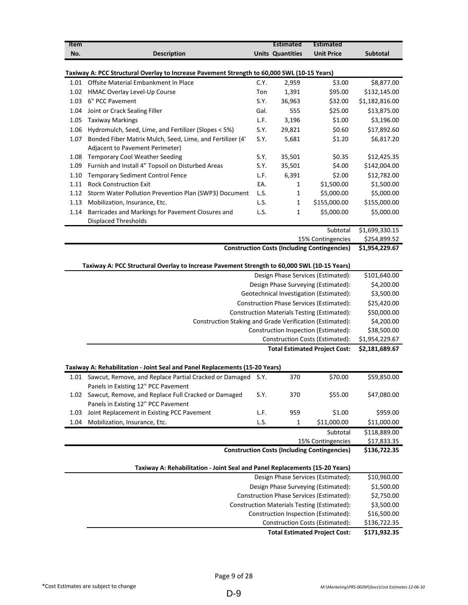| Item |                                                                                                 |      | <b>Estimated</b>        | <b>Estimated</b>                                                        |                                  |
|------|-------------------------------------------------------------------------------------------------|------|-------------------------|-------------------------------------------------------------------------|----------------------------------|
| No.  | <b>Description</b>                                                                              |      | <b>Units Quantities</b> | <b>Unit Price</b>                                                       | Subtotal                         |
|      |                                                                                                 |      |                         |                                                                         |                                  |
|      | Taxiway A: PCC Structural Overlay to Increase Pavement Strength to 60,000 SWL (10-15 Years)     |      |                         |                                                                         |                                  |
| 1.01 | Offsite Material Embankment In Place                                                            | C.Y. | 2,959                   | \$3.00                                                                  | \$8,877.00                       |
| 1.02 | HMAC Overlay Level-Up Course                                                                    | Ton  | 1,391                   | \$95.00                                                                 | \$132,145.00                     |
| 1.03 | 6" PCC Pavement                                                                                 | S.Y. | 36,963                  | \$32.00                                                                 | \$1,182,816.00                   |
| 1.04 | Joint or Crack Sealing Filler                                                                   | Gal. | 555                     | \$25.00                                                                 | \$13,875.00                      |
| 1.05 | <b>Taxiway Markings</b>                                                                         | L.F. | 3,196                   | \$1.00                                                                  | \$3,196.00                       |
| 1.06 | Hydromulch, Seed, Lime, and Fertilizer (Slopes < 5%)                                            | S.Y. | 29,821                  | \$0.60                                                                  | \$17,892.60                      |
| 1.07 | Bonded Fiber Matrix Mulch, Seed, Lime, and Fertilizer (4'<br>Adjacent to Pavement Perimeter)    | S.Y. | 5,681                   | \$1.20                                                                  | \$6,817.20                       |
| 1.08 | <b>Temporary Cool Weather Seeding</b>                                                           | S.Y. | 35,501                  | \$0.35                                                                  | \$12,425.35                      |
| 1.09 | Furnish and Install 4" Topsoil on Disturbed Areas                                               | S.Y. | 35,501                  | \$4.00                                                                  | \$142,004.00                     |
| 1.10 | <b>Temporary Sediment Control Fence</b>                                                         | L.F. | 6,391                   | \$2.00                                                                  | \$12,782.00                      |
| 1.11 | <b>Rock Construction Exit</b>                                                                   | EA.  | 1                       | \$1,500.00                                                              | \$1,500.00                       |
| 1.12 | Storm Water Pollution Prevention Plan (SWP3) Document                                           | L.S. | $\mathbf 1$             | \$5,000.00                                                              | \$5,000.00                       |
| 1.13 | Mobilization, Insurance, Etc.                                                                   | L.S. | 1                       | \$155,000.00                                                            | \$155,000.00                     |
| 1.14 | Barricades and Markings for Pavement Closures and<br><b>Displaced Thresholds</b>                | L.S. | 1                       | \$5,000.00                                                              | \$5,000.00                       |
|      |                                                                                                 |      |                         | Subtotal                                                                | $\overline{$1,699,330.15}$       |
|      |                                                                                                 |      |                         | 15% Contingencies                                                       | \$254,899.52                     |
|      |                                                                                                 |      |                         | <b>Construction Costs (Including Contingencies)</b>                     | \$1,954,229.67                   |
|      |                                                                                                 |      |                         |                                                                         |                                  |
|      | Taxiway A: PCC Structural Overlay to Increase Pavement Strength to 60,000 SWL (10-15 Years)     |      |                         | Design Phase Services (Estimated):                                      | \$101,640.00                     |
|      |                                                                                                 |      |                         | Design Phase Surveying (Estimated):                                     | \$4,200.00                       |
|      |                                                                                                 |      |                         |                                                                         | \$3,500.00                       |
|      |                                                                                                 |      |                         | Geotechnical Investigation (Estimated):                                 |                                  |
|      |                                                                                                 |      |                         | <b>Construction Phase Services (Estimated):</b>                         | \$25,420.00                      |
|      |                                                                                                 |      |                         | Construction Materials Testing (Estimated):                             | \$50,000.00                      |
|      | Construction Staking and Grade Verification (Estimated):                                        |      |                         |                                                                         | \$4,200.00                       |
|      |                                                                                                 |      |                         | Construction Inspection (Estimated):                                    | \$38,500.00                      |
|      |                                                                                                 |      |                         | Construction Costs (Estimated):<br><b>Total Estimated Project Cost:</b> | \$1,954,229.67<br>\$2,181,689.67 |
|      |                                                                                                 |      |                         |                                                                         |                                  |
|      | Taxiway A: Rehabilitation - Joint Seal and Panel Replacements (15-20 Years)                     |      |                         |                                                                         |                                  |
|      | 1.01 Sawcut, Remove, and Replace Partial Cracked or Damaged                                     | 5.Y. | 370                     | \$70.00                                                                 | \$59,850.00                      |
|      | Panels in Existing 12" PCC Pavement<br>1.02 Sawcut, Remove, and Replace Full Cracked or Damaged | S.Y. | 370                     | \$55.00                                                                 | \$47,080.00                      |
|      | Panels in Existing 12" PCC Pavement                                                             |      |                         |                                                                         |                                  |
| 1.03 | Joint Replacement in Existing PCC Pavement                                                      | L.F. | 959                     | \$1.00                                                                  | \$959.00                         |
| 1.04 | Mobilization, Insurance, Etc.                                                                   | L.S. | 1                       | \$11,000.00                                                             | \$11,000.00                      |
|      |                                                                                                 |      |                         | Subtotal                                                                | \$118,889.00                     |
|      |                                                                                                 |      |                         | 15% Contingencies                                                       | \$17,833.35                      |
|      |                                                                                                 |      |                         | <b>Construction Costs (Including Contingencies)</b>                     | \$136,722.35                     |
|      | Taxiway A: Rehabilitation - Joint Seal and Panel Replacements (15-20 Years)                     |      |                         |                                                                         |                                  |
|      |                                                                                                 |      |                         | Design Phase Services (Estimated):                                      | \$10,960.00                      |
|      |                                                                                                 |      |                         | Design Phase Surveying (Estimated):                                     | \$1,500.00                       |
|      |                                                                                                 |      |                         |                                                                         |                                  |
|      |                                                                                                 |      |                         |                                                                         |                                  |
|      |                                                                                                 |      |                         | Construction Phase Services (Estimated):                                | \$2,750.00                       |
|      |                                                                                                 |      |                         | Construction Materials Testing (Estimated):                             |                                  |
|      |                                                                                                 |      |                         | Construction Inspection (Estimated):                                    | \$3,500.00<br>\$16,500.00        |
|      |                                                                                                 |      |                         | Construction Costs (Estimated):<br><b>Total Estimated Project Cost:</b> | \$136,722.35<br>\$171,932.35     |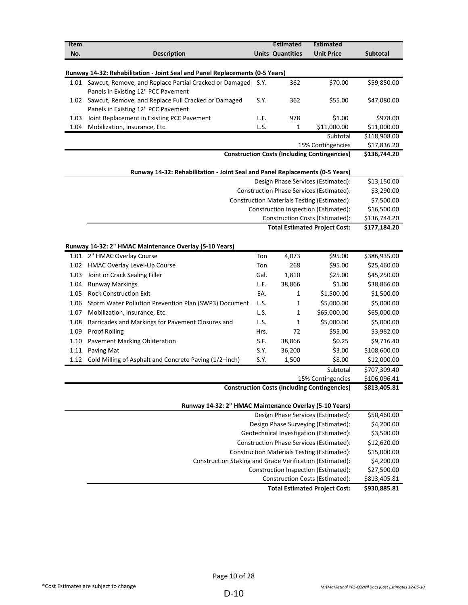| Item<br>No.  | <b>Description</b>                                                                                 |              | <b>Estimated</b><br><b>Units Quantities</b> | <b>Estimated</b><br><b>Unit Price</b>                                   | Subtotal                     |
|--------------|----------------------------------------------------------------------------------------------------|--------------|---------------------------------------------|-------------------------------------------------------------------------|------------------------------|
|              | Runway 14-32: Rehabilitation - Joint Seal and Panel Replacements (0-5 Years)                       |              |                                             |                                                                         |                              |
|              | 1.01 Sawcut, Remove, and Replace Partial Cracked or Damaged<br>Panels in Existing 12" PCC Pavement | S.Y.         | 362                                         | \$70.00                                                                 | \$59,850.00                  |
| 1.02         | Sawcut, Remove, and Replace Full Cracked or Damaged<br>Panels in Existing 12" PCC Pavement         | S.Y.         | 362                                         | \$55.00                                                                 | \$47,080.00                  |
| 1.03<br>1.04 | Joint Replacement in Existing PCC Pavement<br>Mobilization, Insurance, Etc.                        | L.F.<br>L.S. | 978<br>1                                    | \$1.00<br>\$11,000.00                                                   | \$978.00<br>\$11,000.00      |
|              |                                                                                                    |              |                                             | Subtotal                                                                | \$118,908.00                 |
|              |                                                                                                    |              |                                             | 15% Contingencies                                                       | \$17,836.20                  |
|              |                                                                                                    |              |                                             | <b>Construction Costs (Including Contingencies)</b>                     | \$136,744.20                 |
|              | Runway 14-32: Rehabilitation - Joint Seal and Panel Replacements (0-5 Years)                       |              |                                             |                                                                         |                              |
|              |                                                                                                    |              |                                             | Design Phase Services (Estimated):                                      | \$13,150.00                  |
|              |                                                                                                    |              |                                             | <b>Construction Phase Services (Estimated):</b>                         | \$3,290.00                   |
|              |                                                                                                    |              |                                             | <b>Construction Materials Testing (Estimated):</b>                      | \$7,500.00                   |
|              |                                                                                                    |              |                                             | Construction Inspection (Estimated):<br>Construction Costs (Estimated): | \$16,500.00<br>\$136,744.20  |
|              |                                                                                                    |              |                                             | <b>Total Estimated Project Cost:</b>                                    | \$177,184.20                 |
|              |                                                                                                    |              |                                             |                                                                         |                              |
|              | Runway 14-32: 2" HMAC Maintenance Overlay (5-10 Years)                                             |              |                                             |                                                                         |                              |
| 1.01         | 2" HMAC Overlay Course                                                                             | Ton          | 4,073                                       | \$95.00                                                                 | \$386,935.00                 |
| 1.02         | HMAC Overlay Level-Up Course                                                                       | Ton          | 268                                         | \$95.00                                                                 | \$25,460.00                  |
| 1.03         | Joint or Crack Sealing Filler                                                                      | Gal.         | 1,810                                       | \$25.00                                                                 | \$45,250.00                  |
| 1.04         | <b>Runway Markings</b>                                                                             | L.F.         | 38,866                                      | \$1.00                                                                  | \$38,866.00                  |
| 1.05         | <b>Rock Construction Exit</b>                                                                      | EA.          | 1                                           | \$1,500.00                                                              | \$1,500.00                   |
| 1.06         | Storm Water Pollution Prevention Plan (SWP3) Document                                              | L.S.         | 1                                           | \$5,000.00                                                              | \$5,000.00                   |
| 1.07         | Mobilization, Insurance, Etc.                                                                      | L.S.         | 1                                           | \$65,000.00                                                             | \$65,000.00                  |
| 1.08         | Barricades and Markings for Pavement Closures and                                                  | L.S.         | 1                                           | \$5,000.00                                                              | \$5,000.00                   |
| 1.09         | <b>Proof Rolling</b>                                                                               | Hrs.         | 72                                          | \$55.00                                                                 | \$3,982.00                   |
| 1.10         | Pavement Marking Obliteration                                                                      | S.F.         | 38,866                                      | \$0.25                                                                  | \$9,716.40                   |
| 1.11         | Paving Mat                                                                                         | S.Y.         | 36,200                                      | \$3.00                                                                  | \$108,600.00                 |
| 1.12         | Cold Milling of Asphalt and Concrete Paving (1/2-inch)                                             | S.Y.         | 1,500                                       | \$8.00                                                                  | \$12,000.00                  |
|              |                                                                                                    |              |                                             | Subtotal<br>15% Contingencies                                           | \$707,309.40<br>\$106,096.41 |
|              |                                                                                                    |              |                                             | <b>Construction Costs (Including Contingencies)</b>                     | \$813,405.81                 |
|              | Runway 14-32: 2" HMAC Maintenance Overlay (5-10 Years)                                             |              |                                             |                                                                         |                              |
|              |                                                                                                    |              |                                             | Design Phase Services (Estimated):                                      | \$50,460.00                  |
|              |                                                                                                    |              |                                             | Design Phase Surveying (Estimated):                                     | \$4,200.00                   |
|              |                                                                                                    |              |                                             | Geotechnical Investigation (Estimated):                                 | \$3,500.00                   |
|              |                                                                                                    |              |                                             | Construction Phase Services (Estimated):                                | \$12,620.00                  |
|              |                                                                                                    |              |                                             | Construction Materials Testing (Estimated):                             | \$15,000.00                  |
|              | Construction Staking and Grade Verification (Estimated):                                           |              |                                             |                                                                         | \$4,200.00                   |
|              |                                                                                                    |              |                                             | Construction Inspection (Estimated):                                    | \$27,500.00                  |
|              |                                                                                                    |              |                                             | Construction Costs (Estimated):                                         | \$813,405.81                 |
|              |                                                                                                    |              |                                             | <b>Total Estimated Project Cost:</b>                                    | \$930,885.81                 |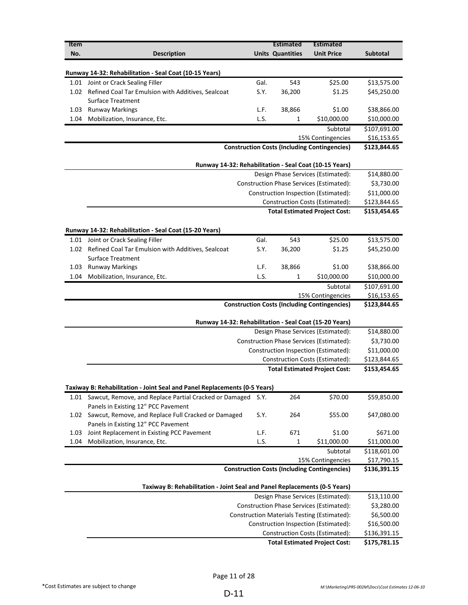| <b>Item</b> |                                                                                          |      | <b>Estimated</b>        | <b>Estimated</b>                                    |                            |
|-------------|------------------------------------------------------------------------------------------|------|-------------------------|-----------------------------------------------------|----------------------------|
| No.         | <b>Description</b>                                                                       |      | <b>Units Quantities</b> | <b>Unit Price</b>                                   | <b>Subtotal</b>            |
|             |                                                                                          |      |                         |                                                     |                            |
|             | Runway 14-32: Rehabilitation - Seal Coat (10-15 Years)                                   |      |                         |                                                     |                            |
|             | 1.01 Joint or Crack Sealing Filler                                                       | Gal. | 543                     | \$25.00                                             | \$13,575.00                |
|             | 1.02 Refined Coal Tar Emulsion with Additives, Sealcoat<br><b>Surface Treatment</b>      | S.Y. | 36,200                  | \$1.25                                              | \$45,250.00                |
| 1.03        | <b>Runway Markings</b>                                                                   | L.F. | 38,866                  | \$1.00                                              | \$38,866.00                |
| 1.04        | Mobilization, Insurance, Etc.                                                            | L.S. | 1                       | \$10,000.00                                         | \$10,000.00                |
|             |                                                                                          |      |                         | Subtotal                                            | \$107,691.00               |
|             |                                                                                          |      |                         | 15% Contingencies                                   | \$16,153.65                |
|             |                                                                                          |      |                         | <b>Construction Costs (Including Contingencies)</b> | \$123,844.65               |
|             |                                                                                          |      |                         |                                                     |                            |
|             | Runway 14-32: Rehabilitation - Seal Coat (10-15 Years)                                   |      |                         |                                                     |                            |
|             |                                                                                          |      |                         | Design Phase Services (Estimated):                  | \$14,880.00                |
|             |                                                                                          |      |                         | Construction Phase Services (Estimated):            | \$3,730.00                 |
|             |                                                                                          |      |                         | Construction Inspection (Estimated):                | \$11,000.00                |
|             |                                                                                          |      |                         | <b>Construction Costs (Estimated):</b>              | \$123,844.65               |
|             |                                                                                          |      |                         | <b>Total Estimated Project Cost:</b>                | \$153,454.65               |
|             |                                                                                          |      |                         |                                                     |                            |
|             | Runway 14-32: Rehabilitation - Seal Coat (15-20 Years)                                   | Gal. | 543                     | \$25.00                                             |                            |
| 1.02        | 1.01 Joint or Crack Sealing Filler<br>Refined Coal Tar Emulsion with Additives, Sealcoat | S.Y. | 36,200                  | \$1.25                                              | \$13,575.00<br>\$45,250.00 |
|             | <b>Surface Treatment</b>                                                                 |      |                         |                                                     |                            |
| 1.03        | <b>Runway Markings</b>                                                                   | L.F. | 38,866                  | \$1.00                                              | \$38,866.00                |
| 1.04        | Mobilization, Insurance, Etc.                                                            | L.S. | 1                       | \$10,000.00                                         | \$10,000.00                |
|             |                                                                                          |      |                         | Subtotal                                            | \$107,691.00               |
|             |                                                                                          |      |                         | 15% Contingencies                                   | \$16,153.65                |
|             |                                                                                          |      |                         | <b>Construction Costs (Including Contingencies)</b> | \$123,844.65               |
|             |                                                                                          |      |                         |                                                     |                            |
|             | Runway 14-32: Rehabilitation - Seal Coat (15-20 Years)                                   |      |                         |                                                     |                            |
|             |                                                                                          |      |                         | Design Phase Services (Estimated):                  | \$14,880.00                |
|             |                                                                                          |      |                         | Construction Phase Services (Estimated):            | \$3,730.00                 |
|             |                                                                                          |      |                         | Construction Inspection (Estimated):                | \$11,000.00                |
|             |                                                                                          |      |                         | Construction Costs (Estimated):                     | \$123,844.65               |
|             |                                                                                          |      |                         | <b>Total Estimated Project Cost:</b>                | \$153,454.65               |
|             | Taxiway B: Rehabilitation - Joint Seal and Panel Replacements (0-5 Years)                |      |                         |                                                     |                            |
| 1.01        | Sawcut, Remove, and Replace Partial Cracked or Damaged                                   | S.Y. | 264                     | \$70.00                                             | \$59,850.00                |
|             | Panels in Existing 12" PCC Pavement                                                      |      |                         |                                                     |                            |
| 1.02        | Sawcut, Remove, and Replace Full Cracked or Damaged                                      | S.Y. | 264                     | \$55.00                                             | \$47,080.00                |
|             | Panels in Existing 12" PCC Pavement                                                      |      |                         |                                                     |                            |
| 1.03        | Joint Replacement in Existing PCC Pavement                                               | L.F. | 671                     | \$1.00                                              | \$671.00                   |
| 1.04        | Mobilization, Insurance, Etc.                                                            | L.S. | 1                       | \$11,000.00                                         | \$11,000.00                |
|             |                                                                                          |      |                         | Subtotal                                            | \$118,601.00               |
|             |                                                                                          |      |                         | 15% Contingencies                                   | \$17,790.15                |
|             |                                                                                          |      |                         | <b>Construction Costs (Including Contingencies)</b> | \$136,391.15               |
|             | Taxiway B: Rehabilitation - Joint Seal and Panel Replacements (0-5 Years)                |      |                         |                                                     |                            |
|             |                                                                                          |      |                         | Design Phase Services (Estimated):                  | \$13,110.00                |
|             |                                                                                          |      |                         | Construction Phase Services (Estimated):            | \$3,280.00                 |
|             |                                                                                          |      |                         | <b>Construction Materials Testing (Estimated):</b>  | \$6,500.00                 |
|             |                                                                                          |      |                         | Construction Inspection (Estimated):                | \$16,500.00                |
|             |                                                                                          |      |                         | Construction Costs (Estimated):                     | \$136,391.15               |
|             |                                                                                          |      |                         | <b>Total Estimated Project Cost:</b>                | \$175,781.15               |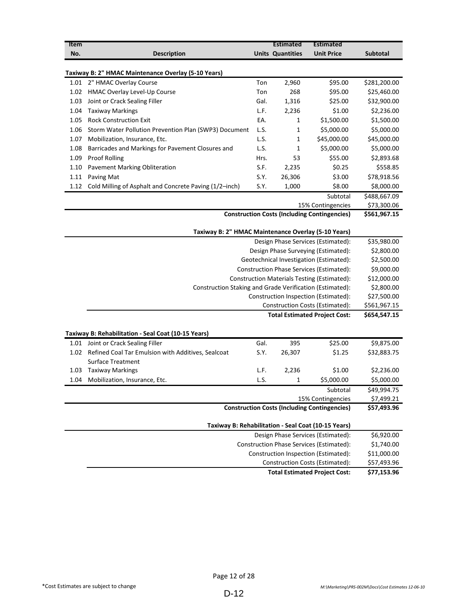| Item |                                                                                     |      | <b>Estimated</b>        | <b>Estimated</b>                                    |              |
|------|-------------------------------------------------------------------------------------|------|-------------------------|-----------------------------------------------------|--------------|
| No.  | <b>Description</b>                                                                  |      | <b>Units Quantities</b> | <b>Unit Price</b>                                   | Subtotal     |
|      |                                                                                     |      |                         |                                                     |              |
|      | Taxiway B: 2" HMAC Maintenance Overlay (5-10 Years)                                 |      |                         |                                                     |              |
|      | 1.01 2" HMAC Overlay Course                                                         | Ton  | 2,960                   | \$95.00                                             | \$281,200.00 |
|      | 1.02 HMAC Overlay Level-Up Course                                                   | Ton  | 268                     | \$95.00                                             | \$25,460.00  |
| 1.03 | Joint or Crack Sealing Filler                                                       | Gal. | 1,316                   | \$25.00                                             | \$32,900.00  |
| 1.04 | <b>Taxiway Markings</b>                                                             | L.F. | 2,236                   | \$1.00                                              | \$2,236.00   |
| 1.05 | <b>Rock Construction Exit</b>                                                       | EA.  | 1                       | \$1,500.00                                          | \$1,500.00   |
| 1.06 | Storm Water Pollution Prevention Plan (SWP3) Document                               | L.S. | 1                       | \$5,000.00                                          | \$5,000.00   |
| 1.07 | Mobilization, Insurance, Etc.                                                       | L.S. | 1                       | \$45,000.00                                         | \$45,000.00  |
| 1.08 | Barricades and Markings for Pavement Closures and                                   | L.S. | 1                       | \$5,000.00                                          | \$5,000.00   |
| 1.09 | <b>Proof Rolling</b>                                                                | Hrs. | 53                      | \$55.00                                             | \$2,893.68   |
| 1.10 | <b>Pavement Marking Obliteration</b>                                                | S.F. | 2,235                   | \$0.25                                              | \$558.85     |
| 1.11 | Paving Mat                                                                          | S.Y. | 26,306                  | \$3.00                                              | \$78,918.56  |
| 1.12 | Cold Milling of Asphalt and Concrete Paving (1/2-inch)                              | S.Y. | 1,000                   | \$8.00                                              | \$8,000.00   |
|      |                                                                                     |      |                         | Subtotal                                            | \$488,667.09 |
|      |                                                                                     |      |                         | 15% Contingencies                                   | \$73,300.06  |
|      |                                                                                     |      |                         | <b>Construction Costs (Including Contingencies)</b> | \$561,967.15 |
|      |                                                                                     |      |                         |                                                     |              |
|      | Taxiway B: 2" HMAC Maintenance Overlay (5-10 Years)                                 |      |                         |                                                     | \$35,980.00  |
|      | Design Phase Services (Estimated):                                                  |      |                         |                                                     |              |
|      | Design Phase Surveying (Estimated):                                                 |      |                         |                                                     |              |
|      | Geotechnical Investigation (Estimated):                                             |      |                         |                                                     |              |
|      |                                                                                     |      |                         | Construction Phase Services (Estimated):            | \$9,000.00   |
|      |                                                                                     |      |                         | Construction Materials Testing (Estimated):         | \$12,000.00  |
|      | Construction Staking and Grade Verification (Estimated):                            |      |                         |                                                     | \$2,800.00   |
|      |                                                                                     |      |                         | Construction Inspection (Estimated):                | \$27,500.00  |
|      |                                                                                     |      |                         | Construction Costs (Estimated):                     | \$561,967.15 |
|      |                                                                                     |      |                         | <b>Total Estimated Project Cost:</b>                | \$654,547.15 |
|      |                                                                                     |      |                         |                                                     |              |
|      | Taxiway B: Rehabilitation - Seal Coat (10-15 Years)                                 |      |                         |                                                     |              |
|      | 1.01 Joint or Crack Sealing Filler                                                  | Gal. | 395                     | \$25.00                                             | \$9,875.00   |
|      | 1.02 Refined Coal Tar Emulsion with Additives, Sealcoat<br><b>Surface Treatment</b> | S.Y. | 26,307                  | \$1.25                                              | \$32,883.75  |
|      | 1.03 Taxiway Markings                                                               | L.F. | 2,236                   | \$1.00                                              | \$2,236.00   |
|      | 1.04 Mobilization, Insurance, Etc.                                                  | L.S. |                         | \$5,000.00                                          | \$5,000.00   |
|      |                                                                                     |      |                         | Subtotal                                            | \$49,994.75  |
|      |                                                                                     |      |                         | 15% Contingencies                                   | \$7,499.21   |
|      |                                                                                     |      |                         | <b>Construction Costs (Including Contingencies)</b> | \$57,493.96  |
|      |                                                                                     |      |                         |                                                     |              |
|      | Taxiway B: Rehabilitation - Seal Coat (10-15 Years)                                 |      |                         |                                                     |              |
|      |                                                                                     |      |                         | Design Phase Services (Estimated):                  | \$6,920.00   |
|      |                                                                                     |      |                         | Construction Phase Services (Estimated):            | \$1,740.00   |
|      |                                                                                     |      |                         | Construction Inspection (Estimated):                | \$11,000.00  |
|      |                                                                                     |      |                         | Construction Costs (Estimated):                     | \$57,493.96  |
|      |                                                                                     |      |                         | <b>Total Estimated Project Cost:</b>                | \$77,153.96  |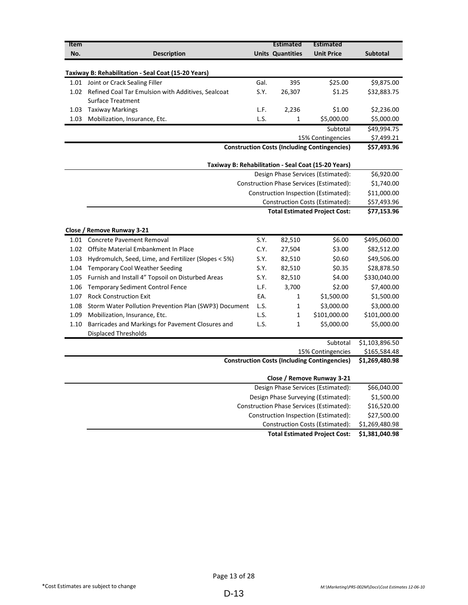| Item |                                                       |      | <b>Estimated</b>        | <b>Estimated</b>                                    |                 |  |  |
|------|-------------------------------------------------------|------|-------------------------|-----------------------------------------------------|-----------------|--|--|
| No.  | <b>Description</b>                                    |      | <b>Units Quantities</b> | <b>Unit Price</b>                                   | <b>Subtotal</b> |  |  |
|      |                                                       |      |                         |                                                     |                 |  |  |
|      | Taxiway B: Rehabilitation - Seal Coat (15-20 Years)   |      |                         |                                                     |                 |  |  |
|      | 1.01 Joint or Crack Sealing Filler                    | Gal. | 395                     | \$25.00                                             | \$9,875.00      |  |  |
| 1.02 | Refined Coal Tar Emulsion with Additives, Sealcoat    | S.Y. | 26,307                  | \$1.25                                              | \$32,883.75     |  |  |
|      | <b>Surface Treatment</b>                              |      |                         |                                                     |                 |  |  |
| 1.03 | <b>Taxiway Markings</b>                               | L.F. | 2,236                   | \$1.00                                              | \$2,236.00      |  |  |
| 1.03 | Mobilization, Insurance, Etc.                         | L.S. | 1                       | \$5,000.00                                          | \$5,000.00      |  |  |
|      |                                                       |      |                         | Subtotal                                            | \$49,994.75     |  |  |
|      |                                                       |      |                         | 15% Contingencies                                   | \$7,499.21      |  |  |
|      |                                                       |      |                         | <b>Construction Costs (Including Contingencies)</b> | \$57,493.96     |  |  |
|      |                                                       |      |                         |                                                     |                 |  |  |
|      |                                                       |      |                         | Taxiway B: Rehabilitation - Seal Coat (15-20 Years) | \$6,920.00      |  |  |
|      | Design Phase Services (Estimated):                    |      |                         |                                                     |                 |  |  |
|      | Construction Phase Services (Estimated):              |      |                         |                                                     |                 |  |  |
|      | Construction Inspection (Estimated):                  |      |                         |                                                     |                 |  |  |
|      | <b>Construction Costs (Estimated):</b>                |      |                         |                                                     |                 |  |  |
|      | <b>Total Estimated Project Cost:</b>                  |      |                         |                                                     |                 |  |  |
|      |                                                       |      |                         |                                                     |                 |  |  |
|      | Close / Remove Runway 3-21                            |      |                         |                                                     |                 |  |  |
| 1.01 | <b>Concrete Pavement Removal</b>                      | S.Y. | 82,510                  | \$6.00                                              | \$495,060.00    |  |  |
| 1.02 | Offsite Material Embankment In Place                  | C.Y. | 27,504                  | \$3.00                                              | \$82,512.00     |  |  |
| 1.03 | Hydromulch, Seed, Lime, and Fertilizer (Slopes < 5%)  | S.Y. | 82,510                  | \$0.60                                              | \$49,506.00     |  |  |
| 1.04 | <b>Temporary Cool Weather Seeding</b>                 | S.Y. | 82,510                  | \$0.35                                              | \$28,878.50     |  |  |
| 1.05 | Furnish and Install 4" Topsoil on Disturbed Areas     | S.Y. | 82,510                  | \$4.00                                              | \$330,040.00    |  |  |
| 1.06 | <b>Temporary Sediment Control Fence</b>               | L.F. | 3,700                   | \$2.00                                              | \$7,400.00      |  |  |
| 1.07 | <b>Rock Construction Exit</b>                         | EA.  | 1                       | \$1,500.00                                          | \$1,500.00      |  |  |
| 1.08 | Storm Water Pollution Prevention Plan (SWP3) Document | L.S. | $\mathbf{1}$            | \$3,000.00                                          | \$3,000.00      |  |  |
| 1.09 | Mobilization, Insurance, Etc.                         | L.S. | $\mathbf{1}$            | \$101,000.00                                        | \$101,000.00    |  |  |
| 1.10 | Barricades and Markings for Pavement Closures and     | L.S. | 1                       | \$5,000.00                                          | \$5,000.00      |  |  |
|      | <b>Displaced Thresholds</b>                           |      |                         |                                                     |                 |  |  |
|      |                                                       |      |                         | Subtotal                                            | \$1,103,896.50  |  |  |
|      |                                                       |      |                         | 15% Contingencies                                   | \$165,584.48    |  |  |
|      |                                                       |      |                         | <b>Construction Costs (Including Contingencies)</b> | \$1,269,480.98  |  |  |
|      |                                                       |      |                         | Close / Remove Runway 3-21                          |                 |  |  |
|      |                                                       |      |                         | Design Phase Services (Estimated):                  | \$66,040.00     |  |  |
|      |                                                       |      |                         | Design Phase Surveying (Estimated):                 | \$1,500.00      |  |  |
|      |                                                       |      |                         | Construction Phase Services (Estimated):            | \$16,520.00     |  |  |
|      |                                                       |      |                         | Construction Inspection (Estimated):                | \$27,500.00     |  |  |

\$1,269,480.98 Construction Costs (Estimated): **Total Estimated Project Cost: \$1,381,040.98**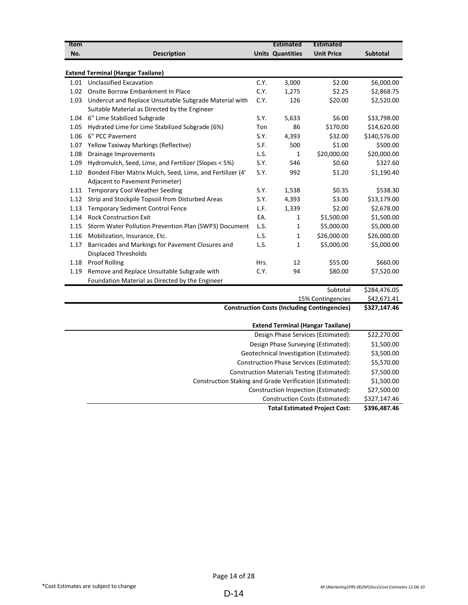| Item                                        |                                                           |      | <b>Estimated</b>        | <b>Estimated</b>                                    |                           |  |
|---------------------------------------------|-----------------------------------------------------------|------|-------------------------|-----------------------------------------------------|---------------------------|--|
| No.                                         | <b>Description</b>                                        |      | <b>Units Quantities</b> | <b>Unit Price</b>                                   | <b>Subtotal</b>           |  |
|                                             |                                                           |      |                         |                                                     |                           |  |
|                                             | <b>Extend Terminal (Hangar Taxilane)</b>                  |      |                         |                                                     |                           |  |
| 1.01                                        | <b>Unclassified Excavation</b>                            | C.Y. | 3,000                   | \$2.00                                              | \$6,000.00                |  |
| 1.02                                        | Onsite Borrow Embankment In Place                         | C.Y. | 1,275                   | \$2.25                                              | \$2,868.75                |  |
| 1.03                                        | Undercut and Replace Unsuitable Subgrade Material with    | C.Y. | 126                     | \$20.00                                             | \$2,520.00                |  |
|                                             | Suitable Material as Directed by the Engineer             |      |                         |                                                     |                           |  |
| 1.04                                        | 6" Lime Stabilized Subgrade                               | S.Y. | 5,633                   | \$6.00                                              | \$33,798.00               |  |
| 1.05                                        | Hydrated Lime for Lime Stabilized Subgrade (6%)           | Ton  | 86                      | \$170.00                                            | \$14,620.00               |  |
| 1.06                                        | 6" PCC Pavement                                           | S.Y. | 4,393                   | \$32.00                                             | \$140,576.00              |  |
| 1.07                                        | Yellow Taxiway Markings (Reflective)                      | S.F. | 500                     | \$1.00                                              | \$500.00                  |  |
| 1.08                                        | Drainage Improvements                                     | L.S. | 1                       | \$20,000.00                                         | \$20,000.00               |  |
| 1.09                                        | Hydromulch, Seed, Lime, and Fertilizer (Slopes < 5%)      | S.Y. | 546                     | \$0.60                                              | \$327.60                  |  |
| 1.10                                        | Bonded Fiber Matrix Mulch, Seed, Lime, and Fertilizer (4' | S.Y. | 992                     | \$1.20                                              | \$1,190.40                |  |
|                                             | Adjacent to Pavement Perimeter)                           |      |                         |                                                     |                           |  |
| 1.11                                        | <b>Temporary Cool Weather Seeding</b>                     | S.Y. | 1,538                   | \$0.35                                              | \$538.30                  |  |
| 1.12                                        | Strip and Stockpile Topsoil from Disturbed Areas          | S.Y. | 4,393                   | \$3.00                                              | \$13,179.00               |  |
| 1.13                                        | <b>Temporary Sediment Control Fence</b>                   | L.F. | 1,339                   | \$2.00                                              | \$2,678.00                |  |
| 1.14                                        | <b>Rock Construction Exit</b>                             | EA.  | $\mathbf{1}$            | \$1,500.00                                          | \$1,500.00                |  |
| 1.15                                        | Storm Water Pollution Prevention Plan (SWP3) Document     | L.S. | 1                       | \$5,000.00                                          | \$5,000.00                |  |
| 1.16                                        | Mobilization, Insurance, Etc.                             | L.S. | $\mathbf 1$             | \$26,000.00                                         | \$26,000.00               |  |
| 1.17                                        | Barricades and Markings for Pavement Closures and         | L.S. | $\mathbf{1}$            | \$5,000.00                                          | \$5,000.00                |  |
|                                             | <b>Displaced Thresholds</b>                               |      |                         |                                                     |                           |  |
| 1.18                                        | <b>Proof Rolling</b>                                      | Hrs. | 12                      | \$55.00                                             | \$660.00                  |  |
| 1.19                                        | Remove and Replace Unsuitable Subgrade with               | C.Y. | 94                      | \$80.00                                             | \$7,520.00                |  |
|                                             | Foundation Material as Directed by the Engineer           |      |                         |                                                     |                           |  |
|                                             |                                                           |      |                         | Subtotal                                            | \$284,476.05              |  |
|                                             |                                                           |      |                         | 15% Contingencies                                   | \$42,671.41               |  |
|                                             |                                                           |      |                         | <b>Construction Costs (Including Contingencies)</b> | \$327,147.46              |  |
|                                             |                                                           |      |                         | <b>Extend Terminal (Hangar Taxilane)</b>            |                           |  |
| Design Phase Services (Estimated):          |                                                           |      |                         |                                                     |                           |  |
| Design Phase Surveying (Estimated):         |                                                           |      |                         |                                                     | \$22,270.00<br>\$1,500.00 |  |
| Geotechnical Investigation (Estimated):     |                                                           |      |                         |                                                     | \$3,500.00                |  |
| Construction Phase Services (Estimated):    |                                                           |      |                         |                                                     | \$5,570.00                |  |
| Construction Materials Testing (Estimated): |                                                           |      |                         |                                                     |                           |  |
|                                             | Construction Staking and Grade Verification (Estimated):  |      |                         |                                                     | \$7,500.00<br>\$1,500.00  |  |
|                                             |                                                           |      |                         | Construction Inspection (Estimated):                | \$27,500.00               |  |
|                                             |                                                           |      |                         | Construction Costs (Estimated):                     | \$327,147.46              |  |
|                                             |                                                           |      |                         |                                                     |                           |  |

**Total Estimated Project Cost: \$396,487.46**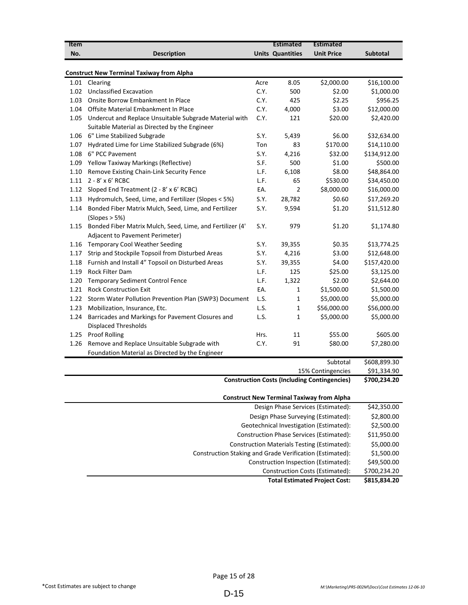| <b>Item</b> |                                                                |      | <b>Estimated</b>        | <b>Estimated</b>                                                                       |                 |
|-------------|----------------------------------------------------------------|------|-------------------------|----------------------------------------------------------------------------------------|-----------------|
| No.         | <b>Description</b>                                             |      | <b>Units Quantities</b> | <b>Unit Price</b>                                                                      | <b>Subtotal</b> |
|             |                                                                |      |                         |                                                                                        |                 |
|             | <b>Construct New Terminal Taxiway from Alpha</b>               |      |                         |                                                                                        |                 |
| 1.01        | Clearing                                                       | Acre | 8.05                    | \$2,000.00                                                                             | \$16,100.00     |
| 1.02        | <b>Unclassified Excavation</b>                                 | C.Y. | 500                     | \$2.00                                                                                 | \$1,000.00      |
| 1.03        | Onsite Borrow Embankment In Place                              | C.Y. | 425                     | \$2.25                                                                                 | \$956.25        |
| 1.04        | Offsite Material Embankment In Place                           | C.Y. | 4,000                   | \$3.00                                                                                 | \$12,000.00     |
| 1.05        | Undercut and Replace Unsuitable Subgrade Material with         | C.Y. | 121                     | \$20.00                                                                                | \$2,420.00      |
|             | Suitable Material as Directed by the Engineer                  |      |                         |                                                                                        |                 |
|             | 1.06 6" Lime Stabilized Subgrade                               | S.Y. | 5,439                   | \$6.00                                                                                 | \$32,634.00     |
| 1.07        | Hydrated Lime for Lime Stabilized Subgrade (6%)                | Ton  | 83                      | \$170.00                                                                               | \$14,110.00     |
| 1.08        | 6" PCC Pavement                                                | S.Y. | 4,216                   | \$32.00                                                                                | \$134,912.00    |
|             | 1.09 Yellow Taxiway Markings (Reflective)                      | S.F. | 500                     | \$1.00                                                                                 | \$500.00        |
| 1.10        | Remove Existing Chain-Link Security Fence                      | L.F. | 6,108                   | \$8.00                                                                                 | \$48,864.00     |
|             | 1.11 $2 - 8' \times 6'$ RCBC                                   | L.F. | 65                      | \$530.00                                                                               | \$34,450.00     |
| 1.12        | Sloped End Treatment (2 - 8' x 6' RCBC)                        | EA.  | 2                       | \$8,000.00                                                                             | \$16,000.00     |
| 1.13        | Hydromulch, Seed, Lime, and Fertilizer (Slopes < 5%)           | S.Y. | 28,782                  | \$0.60                                                                                 | \$17,269.20     |
| 1.14        | Bonded Fiber Matrix Mulch, Seed, Lime, and Fertilizer          | S.Y. | 9,594                   | \$1.20                                                                                 | \$11,512.80     |
|             | (Slopes > 5%)                                                  |      |                         |                                                                                        |                 |
|             | 1.15 Bonded Fiber Matrix Mulch, Seed, Lime, and Fertilizer (4' | S.Y. | 979                     | \$1.20                                                                                 | \$1,174.80      |
|             | Adjacent to Pavement Perimeter)                                |      |                         |                                                                                        |                 |
|             | 1.16 Temporary Cool Weather Seeding                            | S.Y. | 39,355                  | \$0.35                                                                                 | \$13,774.25     |
| 1.17        | Strip and Stockpile Topsoil from Disturbed Areas               | S.Y. | 4,216                   | \$3.00                                                                                 | \$12,648.00     |
| 1.18        | Furnish and Install 4" Topsoil on Disturbed Areas              | S.Y. | 39,355                  | \$4.00                                                                                 | \$157,420.00    |
| 1.19        | <b>Rock Filter Dam</b>                                         | L.F. | 125                     | \$25.00                                                                                | \$3,125.00      |
| 1.20        | <b>Temporary Sediment Control Fence</b>                        | L.F. | 1,322                   | \$2.00                                                                                 | \$2,644.00      |
| 1.21        | <b>Rock Construction Exit</b>                                  | EA.  | 1                       | \$1,500.00                                                                             | \$1,500.00      |
| 1.22        | Storm Water Pollution Prevention Plan (SWP3) Document          | L.S. | 1                       | \$5,000.00                                                                             | \$5,000.00      |
| 1.23        | Mobilization, Insurance, Etc.                                  | L.S. | 1                       | \$56,000.00                                                                            | \$56,000.00     |
| 1.24        | Barricades and Markings for Pavement Closures and              | L.S. | 1                       | \$5,000.00                                                                             | \$5,000.00      |
|             | <b>Displaced Thresholds</b>                                    |      |                         |                                                                                        |                 |
| 1.25        | <b>Proof Rolling</b>                                           | Hrs. | 11                      | \$55.00                                                                                | \$605.00        |
| 1.26        | Remove and Replace Unsuitable Subgrade with                    | C.Y. | 91                      | \$80.00                                                                                | \$7,280.00      |
|             | Foundation Material as Directed by the Engineer                |      |                         |                                                                                        |                 |
|             |                                                                |      |                         | Subtotal                                                                               | \$608,899.30    |
|             |                                                                |      |                         | 15% Contingencies                                                                      | \$91,334.90     |
|             |                                                                |      |                         | <b>Construction Costs (Including Contingencies)</b>                                    | \$700,234.20    |
|             |                                                                |      |                         |                                                                                        |                 |
|             |                                                                |      |                         | <b>Construct New Terminal Taxiway from Alpha</b><br>Design Phase Services (Estimated): | \$42,350.00     |
|             |                                                                |      |                         |                                                                                        |                 |
|             |                                                                |      |                         | Design Phase Surveying (Estimated):                                                    | \$2,800.00      |
|             |                                                                |      |                         | Geotechnical Investigation (Estimated):                                                | \$2,500.00      |
|             |                                                                |      |                         | Construction Phase Services (Estimated):                                               | \$11,950.00     |
|             |                                                                |      |                         | <b>Construction Materials Testing (Estimated):</b>                                     | \$5,000.00      |
|             | Construction Staking and Grade Verification (Estimated):       |      |                         |                                                                                        | \$1,500.00      |

\$49,500.00 \$700,234.20 Construction Costs (Estimated): Construction Inspection (Estimated):

**Total Estimated Project Cost: \$815,834.20**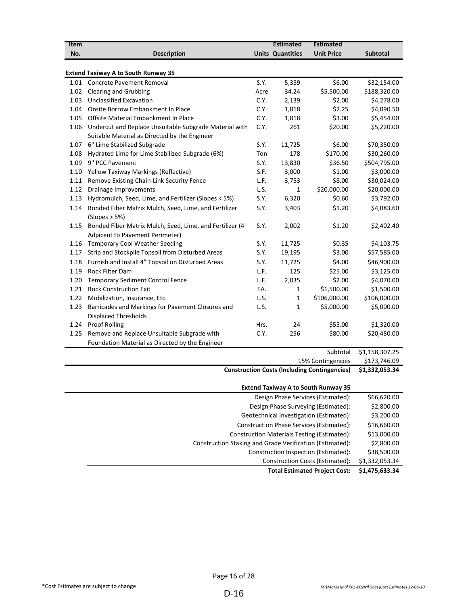| Item |                                                           |      | <b>Estimated</b>        | <b>Estimated</b>  |                 |
|------|-----------------------------------------------------------|------|-------------------------|-------------------|-----------------|
| No.  | <b>Description</b>                                        |      | <b>Units Quantities</b> | <b>Unit Price</b> | <b>Subtotal</b> |
|      |                                                           |      |                         |                   |                 |
|      | <b>Extend Taxiway A to South Runway 35</b>                |      |                         |                   |                 |
| 1.01 | <b>Concrete Pavement Removal</b>                          | S.Y. | 5,359                   | \$6.00            | \$32,154.00     |
| 1.02 | <b>Clearing and Grubbing</b>                              | Acre | 34.24                   | \$5,500.00        | \$188,320.00    |
| 1.03 | <b>Unclassified Excavation</b>                            | C.Y. | 2,139                   | \$2.00            | \$4,278.00      |
| 1.04 | Onsite Borrow Embankment In Place                         | C.Y. | 1,818                   | \$2.25            | \$4,090.50      |
| 1.05 | Offsite Material Embankment In Place                      | C.Y. | 1,818                   | \$3.00            | \$5,454.00      |
| 1.06 | Undercut and Replace Unsuitable Subgrade Material with    | C.Y. | 261                     | \$20.00           | \$5,220.00      |
|      | Suitable Material as Directed by the Engineer             |      |                         |                   |                 |
| 1.07 | 6" Lime Stabilized Subgrade                               | S.Y. | 11,725                  | \$6.00            | \$70,350.00     |
| 1.08 | Hydrated Lime for Lime Stabilized Subgrade (6%)           | Ton  | 178                     | \$170.00          | \$30,260.00     |
| 1.09 | 9" PCC Pavement                                           | S.Y. | 13,830                  | \$36.50           | \$504,795.00    |
| 1.10 | Yellow Taxiway Markings (Reflective)                      | S.F. | 3,000                   | \$1.00            | \$3,000.00      |
| 1.11 | Remove Existing Chain-Link Security Fence                 | L.F. | 3,753                   | \$8.00            | \$30,024.00     |
| 1.12 | Drainage Improvements                                     | L.S. | 1                       | \$20,000.00       | \$20,000.00     |
| 1.13 | Hydromulch, Seed, Lime, and Fertilizer (Slopes < 5%)      | S.Y. | 6,320                   | \$0.60            | \$3,792.00      |
| 1.14 | Bonded Fiber Matrix Mulch, Seed, Lime, and Fertilizer     | S.Y. | 3,403                   | \$1.20            | \$4,083.60      |
|      | (Slopes > 5%)                                             |      |                         |                   |                 |
| 1.15 | Bonded Fiber Matrix Mulch, Seed, Lime, and Fertilizer (4' | S.Y. | 2,002                   | \$1.20            | \$2,402.40      |
|      | Adjacent to Pavement Perimeter)                           |      |                         |                   |                 |
| 1.16 | <b>Temporary Cool Weather Seeding</b>                     | S.Y. | 11,725                  | \$0.35            | \$4,103.75      |
| 1.17 | Strip and Stockpile Topsoil from Disturbed Areas          | S.Y. | 19,195                  | \$3.00            | \$57,585.00     |
| 1.18 | Furnish and Install 4" Topsoil on Disturbed Areas         | S.Y. | 11,725                  | \$4.00            | \$46,900.00     |
| 1.19 | <b>Rock Filter Dam</b>                                    | L.F. | 125                     | \$25.00           | \$3,125.00      |
| 1.20 | <b>Temporary Sediment Control Fence</b>                   | L.F. | 2,035                   | \$2.00            | \$4,070.00      |
| 1.21 | <b>Rock Construction Exit</b>                             | EA.  | $\mathbf{1}$            | \$1,500.00        | \$1,500.00      |
| 1.22 | Mobilization, Insurance, Etc.                             | L.S. | 1                       | \$106,000.00      | \$106,000.00    |
| 1.23 | Barricades and Markings for Pavement Closures and         | L.S. | 1                       | \$5,000.00        | \$5,000.00      |
|      | <b>Displaced Thresholds</b>                               |      |                         |                   |                 |
| 1.24 | <b>Proof Rolling</b>                                      | Hrs. | 24                      | \$55.00           | \$1,320.00      |
| 1.25 | Remove and Replace Unsuitable Subgrade with               | C.Y. | 256                     | \$80.00           | \$20,480.00     |
|      | Foundation Material as Directed by the Engineer           |      |                         |                   |                 |
|      |                                                           |      |                         | Subtotal          | \$1.158.307.25  |

 $$173,746.09$ 15% Contingencies

## **Construction Costs (Including Contingencies) \$1,332,053.34**

| <b>Extend Taxiway A to South Runway 35</b>               |                |
|----------------------------------------------------------|----------------|
| Design Phase Services (Estimated):                       | \$66,620.00    |
| Design Phase Surveying (Estimated):                      | \$2,800.00     |
| Geotechnical Investigation (Estimated):                  | \$3,200.00     |
| Construction Phase Services (Estimated):                 | \$16,660.00    |
| Construction Materials Testing (Estimated):              | \$13,000.00    |
| Construction Staking and Grade Verification (Estimated): | \$2,800.00     |
| Construction Inspection (Estimated):                     | \$38,500.00    |
| Construction Costs (Estimated):                          | \$1,332,053.34 |
| <b>Total Estimated Project Cost:</b>                     | \$1,475,633.34 |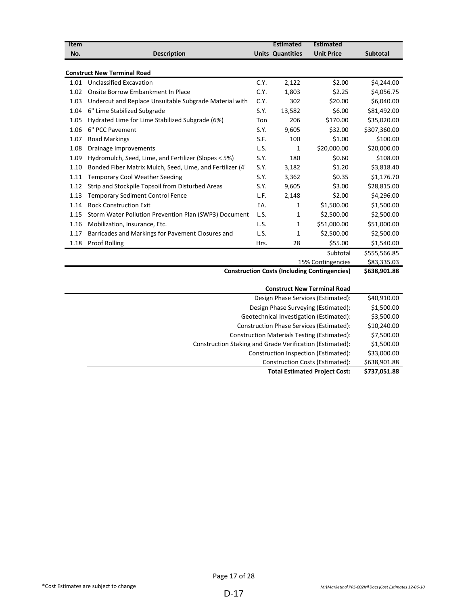| Item                                                |                                                                          |      | <b>Estimated</b>        | <b>Estimated</b>                   |                 |
|-----------------------------------------------------|--------------------------------------------------------------------------|------|-------------------------|------------------------------------|-----------------|
| No.                                                 | <b>Description</b>                                                       |      | <b>Units Quantities</b> | <b>Unit Price</b>                  | <b>Subtotal</b> |
|                                                     | <b>Construct New Terminal Road</b>                                       |      |                         |                                    |                 |
| 1.01                                                | <b>Unclassified Excavation</b>                                           | C.Y. | 2,122                   | \$2.00                             | \$4,244.00      |
| 1.02                                                | Onsite Borrow Embankment In Place                                        | C.Y. | 1,803                   | \$2.25                             | \$4,056.75      |
| 1.03                                                | Undercut and Replace Unsuitable Subgrade Material with                   | C.Y. | 302                     | \$20.00                            | \$6,040.00      |
| 1.04                                                | 6" Lime Stabilized Subgrade                                              | S.Y. | 13,582                  | \$6.00                             | \$81,492.00     |
| 1.05                                                | Hydrated Lime for Lime Stabilized Subgrade (6%)                          | Ton  | 206                     | \$170.00                           | \$35,020.00     |
| 1.06                                                | 6" PCC Pavement                                                          | S.Y. | 9,605                   | \$32.00                            | \$307,360.00    |
| 1.07                                                | <b>Road Markings</b>                                                     | S.F. | 100                     | \$1.00                             | \$100.00        |
| 1.08                                                | Drainage Improvements                                                    | L.S. | 1                       | \$20,000.00                        | \$20,000.00     |
| 1.09                                                | Hydromulch, Seed, Lime, and Fertilizer (Slopes < 5%)                     | S.Y. | 180                     | \$0.60                             | \$108.00        |
| 1.10                                                | Bonded Fiber Matrix Mulch, Seed, Lime, and Fertilizer (4'                | S.Y. | 3,182                   | \$1.20                             | \$3,818.40      |
| 1.11                                                | <b>Temporary Cool Weather Seeding</b>                                    | S.Y. | 3,362                   | \$0.35                             | \$1,176.70      |
| 1.12                                                | Strip and Stockpile Topsoil from Disturbed Areas                         | S.Y. | 9,605                   | \$3.00                             | \$28,815.00     |
|                                                     |                                                                          | L.F. |                         | \$2.00                             |                 |
| 1.13                                                | <b>Temporary Sediment Control Fence</b><br><b>Rock Construction Exit</b> | EA.  | 2,148                   |                                    | \$4,296.00      |
| 1.14                                                |                                                                          |      | 1                       | \$1,500.00                         | \$1,500.00      |
| 1.15                                                | Storm Water Pollution Prevention Plan (SWP3) Document                    | L.S. | 1                       | \$2,500.00                         | \$2,500.00      |
| 1.16                                                | Mobilization, Insurance, Etc.                                            | L.S. | 1                       | \$51,000.00                        | \$51,000.00     |
| 1.17                                                | Barricades and Markings for Pavement Closures and                        | L.S. | 1                       | \$2,500.00                         | \$2,500.00      |
| 1.18                                                | <b>Proof Rolling</b>                                                     | Hrs. | 28                      | \$55.00                            | \$1,540.00      |
|                                                     |                                                                          |      |                         | Subtotal                           | \$555,566.85    |
| 15% Contingencies                                   |                                                                          |      |                         |                                    | \$83,335.03     |
| <b>Construction Costs (Including Contingencies)</b> |                                                                          |      |                         |                                    | \$638,901.88    |
|                                                     |                                                                          |      |                         | <b>Construct New Terminal Road</b> |                 |
|                                                     |                                                                          |      |                         | Design Phase Services (Estimated): | \$40,910.00     |

| <b>Total Estimated Project Cost:</b>                     | \$737,051.88 |
|----------------------------------------------------------|--------------|
| Construction Costs (Estimated):                          | \$638,901.88 |
| Construction Inspection (Estimated):                     | \$33,000.00  |
| Construction Staking and Grade Verification (Estimated): | \$1,500.00   |
| <b>Construction Materials Testing (Estimated):</b>       | \$7,500.00   |
| <b>Construction Phase Services (Estimated):</b>          | \$10,240.00  |
| Geotechnical Investigation (Estimated):                  | \$3,500.00   |
| Design Phase Surveying (Estimated):                      | \$1,500.00   |
| Design Phase Services (Estimated):                       | \$40,910.00  |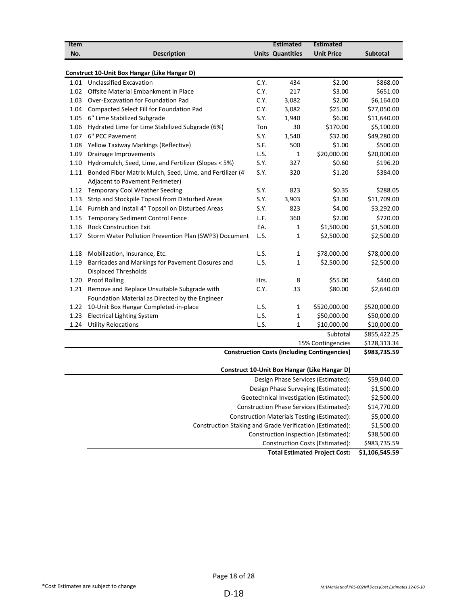| <b>Item</b> |                                                                                  |      | <b>Estimated</b>        | <b>Estimated</b>                                    |                 |
|-------------|----------------------------------------------------------------------------------|------|-------------------------|-----------------------------------------------------|-----------------|
| No.         | <b>Description</b>                                                               |      | <b>Units Quantities</b> | <b>Unit Price</b>                                   | <b>Subtotal</b> |
|             |                                                                                  |      |                         |                                                     |                 |
|             | Construct 10-Unit Box Hangar (Like Hangar D)                                     |      |                         |                                                     |                 |
| 1.01        | <b>Unclassified Excavation</b>                                                   | C.Y. | 434                     | \$2.00                                              | \$868.00        |
| 1.02        | Offsite Material Embankment In Place                                             | C.Y. | 217                     | \$3.00                                              | \$651.00        |
| 1.03        | Over-Excavation for Foundation Pad                                               | C.Y. | 3,082                   | \$2.00                                              | \$6,164.00      |
| 1.04        | Compacted Select Fill for Foundation Pad                                         | C.Y. | 3,082                   | \$25.00                                             | \$77,050.00     |
| 1.05        | 6" Lime Stabilized Subgrade                                                      | S.Y. | 1,940                   | \$6.00                                              | \$11,640.00     |
| 1.06        | Hydrated Lime for Lime Stabilized Subgrade (6%)                                  | Ton  | 30                      | \$170.00                                            | \$5,100.00      |
| 1.07        | 6" PCC Pavement                                                                  | S.Y. | 1,540                   | \$32.00                                             | \$49,280.00     |
| 1.08        | Yellow Taxiway Markings (Reflective)                                             | S.F. | 500                     | \$1.00                                              | \$500.00        |
| 1.09        | Drainage Improvements                                                            | L.S. | $\mathbf{1}$            | \$20,000.00                                         | \$20,000.00     |
| 1.10        | Hydromulch, Seed, Lime, and Fertilizer (Slopes < 5%)                             | S.Y. | 327                     | \$0.60                                              | \$196.20        |
| 1.11        | Bonded Fiber Matrix Mulch, Seed, Lime, and Fertilizer (4'                        | S.Y. | 320                     | \$1.20                                              | \$384.00        |
|             | Adjacent to Pavement Perimeter)                                                  |      |                         |                                                     |                 |
| 1.12        | <b>Temporary Cool Weather Seeding</b>                                            | S.Y. | 823                     | \$0.35                                              | \$288.05        |
| 1.13        | Strip and Stockpile Topsoil from Disturbed Areas                                 | S.Y. | 3,903                   | \$3.00                                              | \$11,709.00     |
| 1.14        | Furnish and Install 4" Topsoil on Disturbed Areas                                | S.Y. | 823                     | \$4.00                                              | \$3,292.00      |
| 1.15        | Temporary Sediment Control Fence                                                 | L.F. | 360                     | \$2.00                                              | \$720.00        |
| 1.16        | <b>Rock Construction Exit</b>                                                    | EA.  | 1                       | \$1,500.00                                          | \$1,500.00      |
| 1.17        | Storm Water Pollution Prevention Plan (SWP3) Document                            | L.S. | 1                       | \$2,500.00                                          | \$2,500.00      |
|             |                                                                                  |      |                         |                                                     |                 |
| 1.18        | Mobilization, Insurance, Etc.                                                    | L.S. | $\mathbf{1}$            | \$78,000.00                                         | \$78,000.00     |
| 1.19        | Barricades and Markings for Pavement Closures and<br><b>Displaced Thresholds</b> | L.S. | 1                       | \$2,500.00                                          | \$2,500.00      |
| 1.20        | <b>Proof Rolling</b>                                                             | Hrs. | 8                       | \$55.00                                             | \$440.00        |
| 1.21        | Remove and Replace Unsuitable Subgrade with                                      | C.Y. | 33                      | \$80.00                                             | \$2,640.00      |
|             |                                                                                  |      |                         |                                                     |                 |
|             | Foundation Material as Directed by the Engineer                                  |      |                         |                                                     |                 |
| 1.22        | 10-Unit Box Hangar Completed-in-place                                            | L.S. | $\mathbf{1}$            | \$520,000.00                                        | \$520,000.00    |
| 1.23        | <b>Electrical Lighting System</b>                                                | L.S. | $\mathbf{1}$            | \$50,000.00                                         | \$50,000.00     |
| 1.24        | <b>Utility Relocations</b>                                                       | L.S. | $\mathbf{1}$            | \$10,000.00                                         | \$10,000.00     |
|             |                                                                                  |      |                         | Subtotal                                            | \$855,422.25    |
|             |                                                                                  |      |                         | 15% Contingencies                                   | \$128,313.34    |
|             |                                                                                  |      |                         | <b>Construction Costs (Including Contingencies)</b> | \$983,735.59    |

#### **Construct 10-Unit Box Hangar (Like Hangar D)**

| Design Phase Services (Estimated):                       | \$59,040.00    |
|----------------------------------------------------------|----------------|
| Design Phase Surveying (Estimated):                      | \$1,500.00     |
| Geotechnical Investigation (Estimated):                  | \$2,500.00     |
| Construction Phase Services (Estimated):                 | \$14,770.00    |
| <b>Construction Materials Testing (Estimated):</b>       | \$5,000.00     |
| Construction Staking and Grade Verification (Estimated): | \$1,500.00     |
| Construction Inspection (Estimated):                     | \$38,500.00    |
| Construction Costs (Estimated):                          | \$983,735.59   |
| <b>Total Estimated Project Cost:</b>                     | \$1,106,545.59 |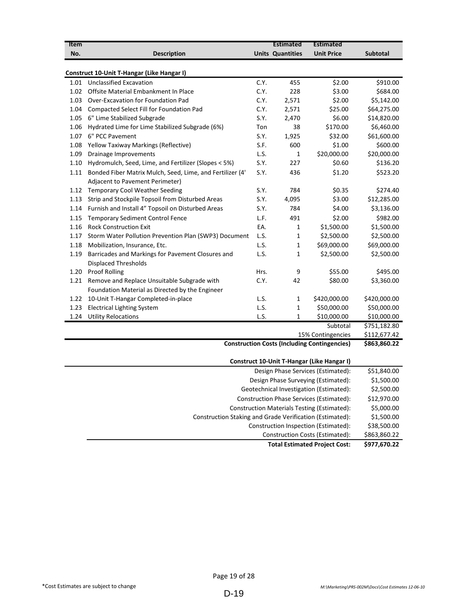| <b>Item</b>                          |                                                           |      | <b>Estimated</b>        | <b>Estimated</b>                                    |                 |
|--------------------------------------|-----------------------------------------------------------|------|-------------------------|-----------------------------------------------------|-----------------|
| No.                                  | <b>Description</b>                                        |      | <b>Units Quantities</b> | <b>Unit Price</b>                                   | <b>Subtotal</b> |
|                                      |                                                           |      |                         |                                                     |                 |
|                                      | <b>Construct 10-Unit T-Hangar (Like Hangar I)</b>         |      |                         |                                                     |                 |
|                                      | 1.01 Unclassified Excavation                              | C.Y. | 455                     | \$2.00                                              | \$910.00        |
| 1.02                                 | Offsite Material Embankment In Place                      | C.Y. | 228                     | \$3.00                                              | \$684.00        |
| 1.03                                 | Over-Excavation for Foundation Pad                        | C.Y. | 2,571                   | \$2.00                                              | \$5,142.00      |
| 1.04                                 | Compacted Select Fill for Foundation Pad                  | C.Y. | 2,571                   | \$25.00                                             | \$64,275.00     |
| 1.05                                 | 6" Lime Stabilized Subgrade                               | S.Y. | 2,470                   | \$6.00                                              | \$14,820.00     |
| 1.06                                 | Hydrated Lime for Lime Stabilized Subgrade (6%)           | Ton  | 38                      | \$170.00                                            | \$6,460.00      |
| 1.07                                 | 6" PCC Pavement                                           | S.Y. | 1,925                   | \$32.00                                             | \$61,600.00     |
| 1.08                                 | Yellow Taxiway Markings (Reflective)                      | S.F. | 600                     | \$1.00                                              | \$600.00        |
| 1.09                                 | Drainage Improvements                                     | L.S. | $\mathbf{1}$            | \$20,000.00                                         | \$20,000.00     |
| 1.10                                 | Hydromulch, Seed, Lime, and Fertilizer (Slopes < 5%)      | S.Y. | 227                     | \$0.60                                              | \$136.20        |
| 1.11                                 | Bonded Fiber Matrix Mulch, Seed, Lime, and Fertilizer (4' | S.Y. | 436                     | \$1.20                                              | \$523.20        |
|                                      | Adjacent to Pavement Perimeter)                           |      |                         |                                                     |                 |
|                                      | 1.12 Temporary Cool Weather Seeding                       | S.Y. | 784                     | \$0.35                                              | \$274.40        |
| 1.13                                 | Strip and Stockpile Topsoil from Disturbed Areas          | S.Y. | 4,095                   | \$3.00                                              | \$12,285.00     |
| 1.14                                 | Furnish and Install 4" Topsoil on Disturbed Areas         | S.Y. | 784                     | \$4.00                                              | \$3,136.00      |
| 1.15                                 | <b>Temporary Sediment Control Fence</b>                   | L.F. | 491                     | \$2.00                                              | \$982.00        |
| 1.16                                 | <b>Rock Construction Exit</b>                             | EA.  | 1                       | \$1,500.00                                          | \$1,500.00      |
| 1.17                                 | Storm Water Pollution Prevention Plan (SWP3) Document     | L.S. | $\mathbf{1}$            | \$2,500.00                                          | \$2,500.00      |
| 1.18                                 | Mobilization, Insurance, Etc.                             | L.S. | $\mathbf{1}$            | \$69,000.00                                         | \$69,000.00     |
| 1.19                                 | Barricades and Markings for Pavement Closures and         | L.S. | $\mathbf{1}$            | \$2,500.00                                          | \$2,500.00      |
|                                      | <b>Displaced Thresholds</b>                               |      |                         |                                                     |                 |
| 1.20                                 | <b>Proof Rolling</b>                                      | Hrs. | 9                       | \$55.00                                             | \$495.00        |
| 1.21                                 | Remove and Replace Unsuitable Subgrade with               | C.Y. | 42                      | \$80.00                                             | \$3,360.00      |
|                                      | Foundation Material as Directed by the Engineer           |      |                         |                                                     |                 |
| 1.22                                 | 10-Unit T-Hangar Completed-in-place                       | L.S. | $\mathbf{1}$            | \$420,000.00                                        | \$420,000.00    |
| 1.23                                 | <b>Electrical Lighting System</b>                         | L.S. | $\mathbf{1}$            | \$50,000.00                                         | \$50,000.00     |
| 1.24                                 | <b>Utility Relocations</b>                                | L.S. | $\mathbf{1}$            | \$10,000.00                                         | \$10,000.00     |
|                                      |                                                           |      |                         | Subtotal                                            | \$751,182.80    |
|                                      |                                                           |      |                         | 15% Contingencies                                   | \$112,677.42    |
|                                      |                                                           |      |                         | <b>Construction Costs (Including Contingencies)</b> | \$863,860.22    |
|                                      |                                                           |      |                         |                                                     |                 |
|                                      |                                                           |      |                         | Construct 10-Unit T-Hangar (Like Hangar I)          |                 |
| Design Phase Services (Estimated):   |                                                           |      |                         |                                                     | \$51,840.00     |
| Design Phase Surveying (Estimated):  |                                                           |      |                         |                                                     | \$1,500.00      |
|                                      |                                                           |      |                         | Geotechnical Investigation (Estimated):             | \$2,500.00      |
|                                      |                                                           |      |                         | Construction Phase Services (Estimated):            | \$12,970.00     |
|                                      |                                                           |      |                         | <b>Construction Materials Testing (Estimated):</b>  | \$5,000.00      |
|                                      | Construction Staking and Grade Verification (Estimated):  |      |                         |                                                     | \$1,500.00      |
| Construction Inspection (Estimated): |                                                           |      |                         |                                                     |                 |

\$863,860.22 Construction Costs (Estimated):

**Total Estimated Project Cost: \$977,670.22**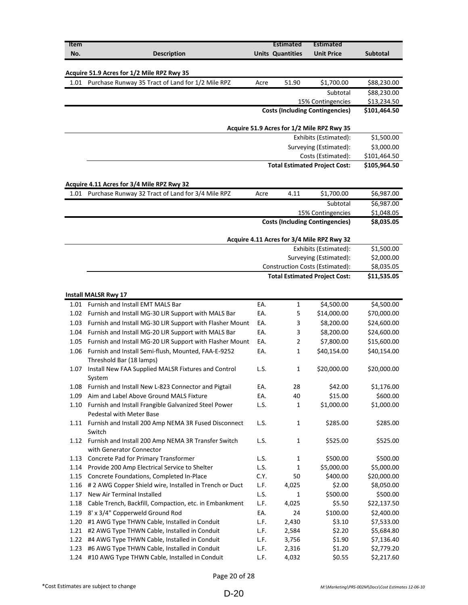| Item |                                                          |      | <b>Estimated</b>        | Estimated                                  |                 |
|------|----------------------------------------------------------|------|-------------------------|--------------------------------------------|-----------------|
| No.  | <b>Description</b>                                       |      | <b>Units Quantities</b> | <b>Unit Price</b>                          | <b>Subtotal</b> |
|      |                                                          |      |                         |                                            |                 |
|      | Acquire 51.9 Acres for 1/2 Mile RPZ Rwy 35               |      |                         |                                            |                 |
| 1.01 | Purchase Runway 35 Tract of Land for 1/2 Mile RPZ        | Acre | 51.90                   | \$1,700.00                                 | \$88,230.00     |
|      |                                                          |      |                         | Subtotal                                   | \$88,230.00     |
|      |                                                          |      |                         | 15% Contingencies                          | \$13,234.50     |
|      |                                                          |      |                         | <b>Costs (Including Contingencies)</b>     | \$101,464.50    |
|      |                                                          |      |                         |                                            |                 |
|      |                                                          |      |                         | Acquire 51.9 Acres for 1/2 Mile RPZ Rwy 35 |                 |
|      |                                                          |      |                         | Exhibits (Estimated):                      | \$1,500.00      |
|      |                                                          |      |                         | Surveying (Estimated):                     | \$3,000.00      |
|      |                                                          |      |                         | Costs (Estimated):                         | \$101,464.50    |
|      |                                                          |      |                         | <b>Total Estimated Project Cost:</b>       | \$105,964.50    |
|      |                                                          |      |                         |                                            |                 |
|      | Acquire 4.11 Acres for 3/4 Mile RPZ Rwy 32               |      |                         |                                            |                 |
| 1.01 | Purchase Runway 32 Tract of Land for 3/4 Mile RPZ        | Acre | 4.11                    | \$1,700.00                                 | \$6,987.00      |
|      |                                                          |      |                         | Subtotal                                   | \$6,987.00      |
|      |                                                          |      |                         | 15% Contingencies                          | \$1,048.05      |
|      |                                                          |      |                         | <b>Costs (Including Contingencies)</b>     | \$8,035.05      |
|      |                                                          |      |                         |                                            |                 |
|      |                                                          |      |                         | Acquire 4.11 Acres for 3/4 Mile RPZ Rwy 32 |                 |
|      |                                                          |      |                         | Exhibits (Estimated):                      | \$1,500.00      |
|      |                                                          |      |                         | Surveying (Estimated):                     | \$2,000.00      |
|      |                                                          |      |                         | Construction Costs (Estimated):            | \$8,035.05      |
|      |                                                          |      |                         | <b>Total Estimated Project Cost:</b>       | \$11,535.05     |
|      |                                                          |      |                         |                                            |                 |
|      | <b>Install MALSR Rwy 17</b>                              |      |                         |                                            |                 |
| 1.01 | Furnish and Install EMT MALS Bar                         | EA.  | 1                       | \$4,500.00                                 | \$4,500.00      |
| 1.02 | Furnish and Install MG-30 LIR Support with MALS Bar      | EA.  | 5                       | \$14,000.00                                | \$70,000.00     |
| 1.03 | Furnish and Install MG-30 LIR Support with Flasher Mount | EA.  | 3                       | \$8,200.00                                 | \$24,600.00     |
| 1.04 | Furnish and Install MG-20 LIR Support with MALS Bar      | EA.  | 3                       | \$8,200.00                                 | \$24,600.00     |
| 1.05 | Furnish and Install MG-20 LIR Support with Flasher Mount | EA.  | 2                       | \$7,800.00                                 | \$15,600.00     |
| 1.06 | Furnish and Install Semi-flush, Mounted, FAA-E-9252      | EA.  | 1                       | \$40,154.00                                | \$40,154.00     |
|      | Threshold Bar (18 lamps)                                 |      |                         |                                            |                 |
| 1.07 | Install New FAA Supplied MALSR Fixtures and Control      | L.S. | 1                       | \$20,000.00                                | \$20,000.00     |
|      | System                                                   |      |                         |                                            |                 |
|      | 1.08 Furnish and Install New L-823 Connector and Pigtail | EA.  | 28                      | \$42.00                                    | \$1,176.00      |
| 1.09 | Aim and Label Above Ground MALS Fixture                  | EA.  | 40                      | \$15.00                                    | \$600.00        |
| 1.10 | Furnish and Install Frangible Galvanized Steel Power     | L.S. | 1                       | \$1,000.00                                 | \$1,000.00      |
|      | Pedestal with Meter Base                                 |      |                         |                                            |                 |
| 1.11 | Furnish and Install 200 Amp NEMA 3R Fused Disconnect     | L.S. | $\mathbf{1}$            | \$285.00                                   | \$285.00        |
|      | Switch                                                   |      |                         |                                            |                 |
| 1.12 | Furnish and Install 200 Amp NEMA 3R Transfer Switch      | L.S. | $\mathbf{1}$            | \$525.00                                   | \$525.00        |
|      | with Generator Connector                                 |      |                         |                                            |                 |
| 1.13 | Concrete Pad for Primary Transformer                     | L.S. | 1                       | \$500.00                                   | \$500.00        |
| 1.14 | Provide 200 Amp Electrical Service to Shelter            | L.S. | 1                       | \$5,000.00                                 | \$5,000.00      |
| 1.15 | Concrete Foundations, Completed In-Place                 | C.Y. | 50                      | \$400.00                                   | \$20,000.00     |
| 1.16 | # 2 AWG Copper Shield wire, Installed in Trench or Duct  | L.F. | 4,025                   | \$2.00                                     | \$8,050.00      |
| 1.17 | New Air Terminal Installed                               | L.S. | 1                       | \$500.00                                   | \$500.00        |
| 1.18 | Cable Trench, Backfill, Compaction, etc. in Embankment   | L.F. | 4,025                   | \$5.50                                     | \$22,137.50     |
| 1.19 | 8' x 3/4" Copperweld Ground Rod                          | EA.  | 24                      | \$100.00                                   | \$2,400.00      |
| 1.20 | #1 AWG Type THWN Cable, Installed in Conduit             | L.F. | 2,430                   | \$3.10                                     | \$7,533.00      |
| 1.21 | #2 AWG Type THWN Cable, Installed in Conduit             | L.F. | 2,584                   | \$2.20                                     | \$5,684.80      |
| 1.22 | #4 AWG Type THWN Cable, Installed in Conduit             | L.F. | 3,756                   | \$1.90                                     | \$7,136.40      |
| 1.23 | #6 AWG Type THWN Cable, Installed in Conduit             | L.F. | 2,316                   | \$1.20                                     | \$2,779.20      |
| 1.24 | #10 AWG Type THWN Cable, Installed in Conduit            | L.F. | 4,032                   | \$0.55                                     | \$2,217.60      |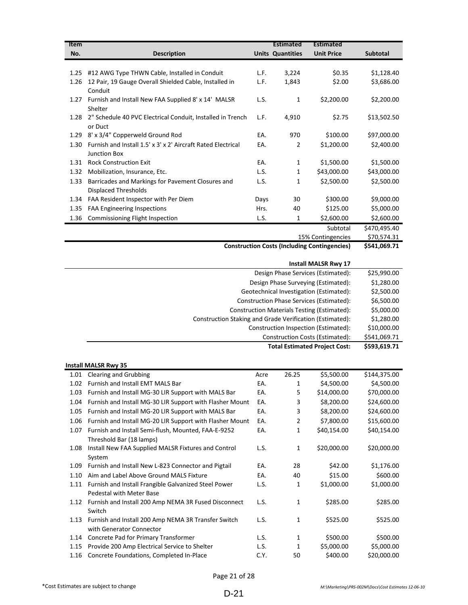| Item                                                |                                                              |      | <b>Estimated</b>        | <b>Estimated</b>  |                 |
|-----------------------------------------------------|--------------------------------------------------------------|------|-------------------------|-------------------|-----------------|
| No.                                                 | <b>Description</b>                                           |      | <b>Units Quantities</b> | <b>Unit Price</b> | <b>Subtotal</b> |
|                                                     |                                                              |      |                         |                   |                 |
| 1.25                                                | #12 AWG Type THWN Cable, Installed in Conduit                | L.F. | 3,224                   | \$0.35            | \$1,128.40      |
| 1.26                                                | 12 Pair, 19 Gauge Overall Shielded Cable, Installed in       | L.F. | 1,843                   | \$2.00            | \$3,686.00      |
|                                                     | Conduit                                                      |      |                         |                   |                 |
| 1.27                                                | Furnish and Install New FAA Supplied 8' x 14' MALSR          | L.S. | 1                       | \$2,200.00        | \$2,200.00      |
|                                                     | Shelter                                                      |      |                         |                   |                 |
| 1.28                                                | 2" Schedule 40 PVC Electrical Conduit, Installed in Trench   | L.F. | 4,910                   | \$2.75            | \$13,502.50     |
|                                                     | or Duct                                                      |      |                         |                   |                 |
| 1.29                                                | 8' x 3/4" Copperweld Ground Rod                              | EA.  | 970                     | \$100.00          | \$97,000.00     |
| 1.30                                                | Furnish and Install 1.5' x 3' x 2' Aircraft Rated Electrical | EA.  | 2                       | \$1,200.00        | \$2,400.00      |
|                                                     | <b>Junction Box</b>                                          |      |                         |                   |                 |
| 1.31                                                | <b>Rock Construction Exit</b>                                | EA.  | 1                       | \$1,500.00        | \$1,500.00      |
| 1.32                                                | Mobilization, Insurance, Etc.                                | L.S. | 1                       | \$43,000.00       | \$43,000.00     |
| 1.33                                                | Barricades and Markings for Pavement Closures and            | L.S. | 1                       | \$2,500.00        | \$2,500.00      |
|                                                     | <b>Displaced Thresholds</b>                                  |      |                         |                   |                 |
| 1.34                                                | FAA Resident Inspector with Per Diem                         | Days | 30                      | \$300.00          | \$9,000.00      |
| 1.35                                                | <b>FAA Engineering Inspections</b>                           | Hrs. | 40                      | \$125.00          | \$5,000.00      |
| 1.36                                                | Commissioning Flight Inspection                              | L.S. | 1                       | \$2,600.00        | \$2,600.00      |
|                                                     |                                                              |      |                         | Subtotal          | \$470,495.40    |
|                                                     |                                                              |      |                         | 15% Contingencies | \$70,574.31     |
| <b>Construction Costs (Including Contingencies)</b> |                                                              |      |                         |                   | \$541,069.71    |

|              | <b>Install MALSR Rwy 17</b>                              |
|--------------|----------------------------------------------------------|
| \$25,990.00  | Design Phase Services (Estimated):                       |
| \$1,280.00   | Design Phase Surveying (Estimated):                      |
| \$2,500.00   | Geotechnical Investigation (Estimated):                  |
| \$6,500.00   | Construction Phase Services (Estimated):                 |
| \$5,000.00   | <b>Construction Materials Testing (Estimated):</b>       |
| \$1,280.00   | Construction Staking and Grade Verification (Estimated): |
| \$10,000.00  | Construction Inspection (Estimated):                     |
| \$541,069.71 | Construction Costs (Estimated):                          |
| \$593,619.71 | <b>Total Estimated Project Cost:</b>                     |

|      | <b>Install MALSR Rwy 35</b>                              |      |              |             |              |
|------|----------------------------------------------------------|------|--------------|-------------|--------------|
| 1.01 | <b>Clearing and Grubbing</b>                             | Acre | 26.25        | \$5,500.00  | \$144,375.00 |
| 1.02 | <b>Furnish and Install EMT MALS Bar</b>                  | EA.  | 1            | \$4,500.00  | \$4,500.00   |
| 1.03 | Furnish and Install MG-30 LIR Support with MALS Bar      | EA.  | 5            | \$14,000.00 | \$70,000.00  |
| 1.04 | Furnish and Install MG-30 LIR Support with Flasher Mount | EA.  | 3            | \$8,200.00  | \$24,600.00  |
| 1.05 | Furnish and Install MG-20 LIR Support with MALS Bar      | EA.  | 3            | \$8,200.00  | \$24,600.00  |
| 1.06 | Furnish and Install MG-20 LIR Support with Flasher Mount | EA.  | 2            | \$7,800.00  | \$15,600.00  |
| 1.07 | Furnish and Install Semi-flush, Mounted, FAA-E-9252      | EA.  | 1            | \$40,154.00 | \$40,154.00  |
|      | Threshold Bar (18 lamps)                                 |      |              |             |              |
| 1.08 | Install New FAA Supplied MALSR Fixtures and Control      | L.S. | $\mathbf{1}$ | \$20,000.00 | \$20,000.00  |
|      | System                                                   |      |              |             |              |
| 1.09 | Furnish and Install New L-823 Connector and Pigtail      | EA.  | 28           | \$42.00     | \$1,176.00   |
| 1.10 | Aim and Label Above Ground MALS Fixture                  | EA.  | 40           | \$15.00     | \$600.00     |
| 1.11 | Furnish and Install Frangible Galvanized Steel Power     | L.S. | 1            | \$1,000.00  | \$1,000.00   |
|      | <b>Pedestal with Meter Base</b>                          |      |              |             |              |
| 1.12 | Furnish and Install 200 Amp NEMA 3R Fused Disconnect     | L.S. | 1            | \$285.00    | \$285.00     |
|      | Switch                                                   |      |              |             |              |
| 1.13 | Furnish and Install 200 Amp NEMA 3R Transfer Switch      | L.S. | 1            | \$525.00    | \$525.00     |
|      | with Generator Connector                                 |      |              |             |              |
| 1.14 | Concrete Pad for Primary Transformer                     | L.S. | 1            | \$500.00    | \$500.00     |
| 1.15 | Provide 200 Amp Electrical Service to Shelter            | L.S. | 1            | \$5,000.00  | \$5,000.00   |
| 1.16 | Concrete Foundations, Completed In-Place                 | C.Y. | 50           | \$400.00    | \$20,000.00  |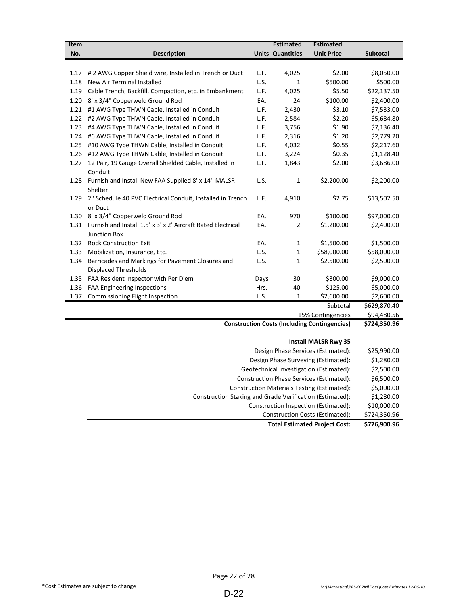| Item              |                                                              |      | <b>Estimated</b>        | <b>Estimated</b>                                    |                 |
|-------------------|--------------------------------------------------------------|------|-------------------------|-----------------------------------------------------|-----------------|
| No.               | <b>Description</b>                                           |      | <b>Units Quantities</b> | <b>Unit Price</b>                                   | <b>Subtotal</b> |
|                   |                                                              |      |                         |                                                     |                 |
| 1.17              | # 2 AWG Copper Shield wire, Installed in Trench or Duct      | L.F. | 4,025                   | \$2.00                                              | \$8,050.00      |
| 1.18              | New Air Terminal Installed                                   | L.S. | $\mathbf{1}$            | \$500.00                                            | \$500.00        |
| 1.19              | Cable Trench, Backfill, Compaction, etc. in Embankment       | L.F. | 4,025                   | \$5.50                                              | \$22,137.50     |
| 1.20              | 8' x 3/4" Copperweld Ground Rod                              | EA.  | 24                      | \$100.00                                            | \$2,400.00      |
| 1.21              | #1 AWG Type THWN Cable, Installed in Conduit                 | L.F. | 2,430                   | \$3.10                                              | \$7,533.00      |
| 1.22              | #2 AWG Type THWN Cable, Installed in Conduit                 | L.F. | 2,584                   | \$2.20                                              | \$5,684.80      |
| 1.23              | #4 AWG Type THWN Cable, Installed in Conduit                 | L.F. | 3,756                   | \$1.90                                              | \$7,136.40      |
| 1.24              | #6 AWG Type THWN Cable, Installed in Conduit                 | L.F. | 2,316                   | \$1.20                                              | \$2,779.20      |
| 1.25              | #10 AWG Type THWN Cable, Installed in Conduit                | L.F. | 4,032                   | \$0.55                                              | \$2,217.60      |
| 1.26              | #12 AWG Type THWN Cable, Installed in Conduit                | L.F. | 3,224                   | \$0.35                                              | \$1,128.40      |
| 1.27              | 12 Pair, 19 Gauge Overall Shielded Cable, Installed in       | L.F. | 1,843                   | \$2.00                                              | \$3,686.00      |
|                   | Conduit                                                      |      |                         |                                                     |                 |
| 1.28              | Furnish and Install New FAA Supplied 8' x 14' MALSR          | L.S. | 1                       | \$2,200.00                                          | \$2,200.00      |
|                   | Shelter                                                      |      |                         |                                                     |                 |
| 1.29              | 2" Schedule 40 PVC Electrical Conduit, Installed in Trench   | L.F. | 4,910                   | \$2.75                                              | \$13,502.50     |
|                   | or Duct                                                      |      |                         |                                                     |                 |
| 1.30              | 8' x 3/4" Copperweld Ground Rod                              | EA.  | 970                     | \$100.00                                            | \$97,000.00     |
| 1.31              | Furnish and Install 1.5' x 3' x 2' Aircraft Rated Electrical | EA.  | $\overline{2}$          | \$1,200.00                                          | \$2,400.00      |
|                   | <b>Junction Box</b>                                          |      |                         |                                                     |                 |
| 1.32              | <b>Rock Construction Exit</b>                                | EA.  | 1                       | \$1,500.00                                          | \$1,500.00      |
| 1.33              | Mobilization, Insurance, Etc.                                | L.S. | $\mathbf{1}$            | \$58,000.00                                         | \$58,000.00     |
| 1.34              | Barricades and Markings for Pavement Closures and            | L.S. | $\mathbf{1}$            | \$2,500.00                                          | \$2,500.00      |
|                   | <b>Displaced Thresholds</b>                                  |      |                         |                                                     |                 |
| 1.35              | FAA Resident Inspector with Per Diem                         | Days | 30                      | \$300.00                                            | \$9,000.00      |
| 1.36              | FAA Engineering Inspections                                  | Hrs. | 40                      | \$125.00                                            | \$5,000.00      |
| 1.37              | Commissioning Flight Inspection                              | L.S. | $\mathbf{1}$            | \$2,600.00                                          | \$2,600.00      |
|                   |                                                              |      |                         | Subtotal                                            | \$629,870.40    |
| 15% Contingencies |                                                              |      |                         | \$94,480.56                                         |                 |
|                   |                                                              |      |                         | <b>Construction Costs (Including Contingencies)</b> | \$724,350.96    |
|                   |                                                              |      |                         | Inctall MAICD Duni 25                               |                 |

| <b>INSTAIL MALSK KWY 35</b>                              |              |
|----------------------------------------------------------|--------------|
| Design Phase Services (Estimated):                       | \$25,990.00  |
| Design Phase Surveying (Estimated):                      | \$1,280.00   |
| Geotechnical Investigation (Estimated):                  | \$2,500.00   |
| Construction Phase Services (Estimated):                 | \$6,500.00   |
| <b>Construction Materials Testing (Estimated):</b>       | \$5,000.00   |
| Construction Staking and Grade Verification (Estimated): | \$1,280.00   |
| Construction Inspection (Estimated):                     | \$10,000.00  |
| Construction Costs (Estimated):                          | \$724,350.96 |
| <b>Total Estimated Project Cost:</b>                     | \$776,900.96 |
|                                                          |              |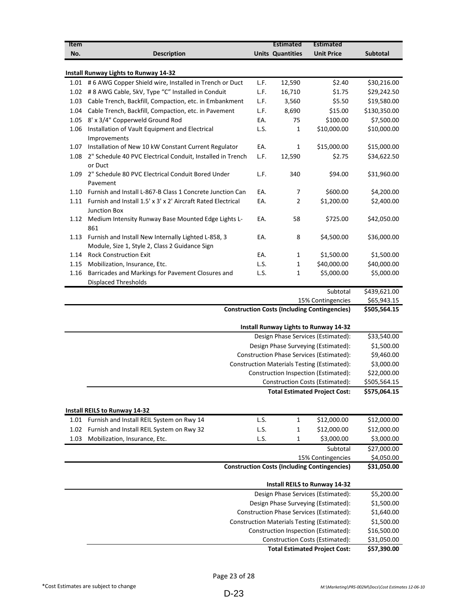| <b>Item</b> |                                                                                                       |      | <b>Estimated</b>        | <b>Estimated</b>                                    |              |
|-------------|-------------------------------------------------------------------------------------------------------|------|-------------------------|-----------------------------------------------------|--------------|
| No.         | <b>Description</b>                                                                                    |      | <b>Units Quantities</b> | <b>Unit Price</b>                                   | Subtotal     |
|             | <b>Install Runway Lights to Runway 14-32</b>                                                          |      |                         |                                                     |              |
|             | 1.01 # 6 AWG Copper Shield wire, Installed in Trench or Duct                                          | L.F. | 12,590                  | \$2.40                                              | \$30,216.00  |
|             | 1.02 # 8 AWG Cable, 5kV, Type "C" Installed in Conduit                                                | L.F. | 16,710                  | \$1.75                                              | \$29,242.50  |
| 1.03        | Cable Trench, Backfill, Compaction, etc. in Embankment                                                | L.F. | 3,560                   | \$5.50                                              | \$19,580.00  |
| 1.04        | Cable Trench, Backfill, Compaction, etc. in Pavement                                                  | L.F. | 8,690                   | \$15.00                                             | \$130,350.00 |
| 1.05        | 8' x 3/4" Copperweld Ground Rod                                                                       | EA.  | 75                      | \$100.00                                            | \$7,500.00   |
| 1.06        | Installation of Vault Equipment and Electrical<br>Improvements                                        | L.S. | 1                       | \$10,000.00                                         | \$10,000.00  |
|             | 1.07 Installation of New 10 kW Constant Current Regulator                                             | EA.  | 1                       | \$15,000.00                                         | \$15,000.00  |
| 1.08        | 2" Schedule 40 PVC Electrical Conduit, Installed in Trench<br>or Duct                                 | L.F. | 12,590                  | \$2.75                                              | \$34,622.50  |
| 1.09        | 2" Schedule 80 PVC Electrical Conduit Bored Under<br>Pavement                                         | L.F. | 340                     | \$94.00                                             | \$31,960.00  |
| 1.10        | Furnish and Install L-867-B Class 1 Concrete Junction Can                                             | EA.  | 7                       | \$600.00                                            | \$4,200.00   |
| 1.11        | Furnish and Install 1.5' x 3' x 2' Aircraft Rated Electrical<br><b>Junction Box</b>                   | EA.  | 2                       | \$1,200.00                                          | \$2,400.00   |
|             | 1.12 Medium Intensity Runway Base Mounted Edge Lights L-<br>861                                       | EA.  | 58                      | \$725.00                                            | \$42,050.00  |
| 1.13        | Furnish and Install New Internally Lighted L-858, 3<br>Module, Size 1, Style 2, Class 2 Guidance Sign | EA.  | 8                       | \$4,500.00                                          | \$36,000.00  |
| 1.14        | <b>Rock Construction Exit</b>                                                                         | EA.  | 1                       | \$1,500.00                                          | \$1,500.00   |
| 1.15        | Mobilization, Insurance, Etc.                                                                         | L.S. | 1                       | \$40,000.00                                         | \$40,000.00  |
| 1.16        | Barricades and Markings for Pavement Closures and<br><b>Displaced Thresholds</b>                      | L.S. | 1                       | \$5,000.00                                          | \$5,000.00   |
|             |                                                                                                       |      |                         | Subtotal                                            | \$439,621.00 |
|             |                                                                                                       |      |                         | 15% Contingencies                                   | \$65,943.15  |
|             |                                                                                                       |      |                         | <b>Construction Costs (Including Contingencies)</b> | \$505,564.15 |
|             |                                                                                                       |      |                         | <b>Install Runway Lights to Runway 14-32</b>        |              |
|             |                                                                                                       |      |                         | Design Phase Services (Estimated):                  | \$33,540.00  |
|             |                                                                                                       |      |                         | Design Phase Surveying (Estimated):                 | \$1,500.00   |
|             |                                                                                                       |      |                         | Construction Phase Services (Estimated):            | \$9,460.00   |
|             |                                                                                                       |      |                         | Construction Materials Testing (Estimated):         | \$3,000.00   |
|             |                                                                                                       |      |                         | Construction Inspection (Estimated):                | \$22,000.00  |
|             |                                                                                                       |      |                         | <b>Construction Costs (Estimated):</b>              | \$505,564.15 |
|             |                                                                                                       |      |                         | <b>Total Estimated Project Cost:</b>                | \$575,064.15 |
|             | <b>Install REILS to Runway 14-32</b>                                                                  |      |                         |                                                     |              |
|             | 1.01 Furnish and Install REIL System on Rwy 14                                                        | L.S. | 1                       | \$12,000.00                                         | \$12,000.00  |
| 1.02        | Furnish and Install REIL System on Rwy 32                                                             | L.S. | 1                       | \$12,000.00                                         | \$12,000.00  |
| 1.03        | Mobilization, Insurance, Etc.                                                                         | L.S. | 1                       | \$3,000.00                                          | \$3,000.00   |
|             |                                                                                                       |      |                         | Subtotal                                            | \$27,000.00  |
|             |                                                                                                       |      |                         | 15% Contingencies                                   | \$4,050.00   |
|             |                                                                                                       |      |                         | <b>Construction Costs (Including Contingencies)</b> | \$31,050.00  |
|             |                                                                                                       |      |                         | <b>Install REILS to Runway 14-32</b>                |              |
|             |                                                                                                       |      |                         | Design Phase Services (Estimated):                  | \$5,200.00   |
|             |                                                                                                       |      |                         | Design Phase Surveying (Estimated):                 | \$1,500.00   |
|             |                                                                                                       |      |                         | Construction Phase Services (Estimated):            | \$1,640.00   |
|             |                                                                                                       |      |                         | <b>Construction Materials Testing (Estimated):</b>  | \$1,500.00   |
|             |                                                                                                       |      |                         | Construction Inspection (Estimated):                | \$16,500.00  |
|             |                                                                                                       |      |                         | Construction Costs (Estimated):                     | \$31,050.00  |
|             |                                                                                                       |      |                         | <b>Total Estimated Project Cost:</b>                | \$57,390.00  |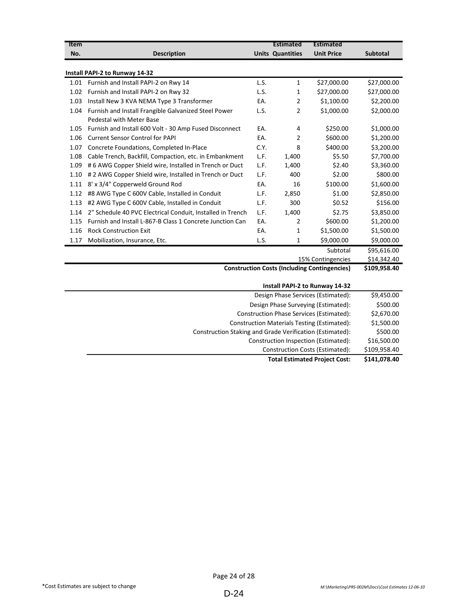| <b>Item</b>                                         |                                                            |      | <b>Estimated</b>        | <b>Estimated</b>               |                 |
|-----------------------------------------------------|------------------------------------------------------------|------|-------------------------|--------------------------------|-----------------|
| No.                                                 | <b>Description</b>                                         |      | <b>Units Quantities</b> | <b>Unit Price</b>              | <b>Subtotal</b> |
|                                                     |                                                            |      |                         |                                |                 |
|                                                     | Install PAPI-2 to Runway 14-32                             |      |                         |                                |                 |
| 1.01                                                | Furnish and Install PAPI-2 on Rwy 14                       | L.S. | 1                       | \$27,000.00                    | \$27,000.00     |
| 1.02                                                | Furnish and Install PAPI-2 on Rwy 32                       | L.S. | 1                       | \$27,000.00                    | \$27,000.00     |
| 1.03                                                | Install New 3 KVA NEMA Type 3 Transformer                  | EA.  | 2                       | \$1,100.00                     | \$2,200.00      |
| 1.04                                                | Furnish and Install Frangible Galvanized Steel Power       | L.S. | $\overline{2}$          | \$1,000.00                     | \$2,000.00      |
|                                                     | Pedestal with Meter Base                                   |      |                         |                                |                 |
| 1.05                                                | Furnish and Install 600 Volt - 30 Amp Fused Disconnect     | EA.  | 4                       | \$250.00                       | \$1,000.00      |
| 1.06                                                | <b>Current Sensor Control for PAPI</b>                     | EA.  | 2                       | \$600.00                       | \$1,200.00      |
| 1.07                                                | Concrete Foundations, Completed In-Place                   | C.Y. | 8                       | \$400.00                       | \$3.200.00      |
| 1.08                                                | Cable Trench, Backfill, Compaction, etc. in Embankment     | L.F. | 1,400                   | \$5.50                         | \$7,700.00      |
| 1.09                                                | #6 AWG Copper Shield wire, Installed in Trench or Duct     | L.F. | 1,400                   | \$2.40                         | \$3,360.00      |
| 1.10                                                | # 2 AWG Copper Shield wire, Installed in Trench or Duct    | L.F. | 400                     | \$2.00                         | \$800.00        |
| 1.11                                                | 8' x 3/4" Copperweld Ground Rod                            | EA.  | 16                      | \$100.00                       | \$1,600.00      |
| 1.12                                                | #8 AWG Type C 600V Cable, Installed in Conduit             | L.F. | 2,850                   | \$1.00                         | \$2,850.00      |
| 1.13                                                | #2 AWG Type C 600V Cable, Installed in Conduit             | L.F. | 300                     | \$0.52                         | \$156.00        |
| 1.14                                                | 2" Schedule 40 PVC Electrical Conduit, Installed in Trench | L.F. | 1,400                   | \$2.75                         | \$3.850.00      |
| 1.15                                                | Furnish and Install L-867-B Class 1 Concrete Junction Can  | EA.  | 2                       | \$600.00                       | \$1,200.00      |
| 1.16                                                | <b>Rock Construction Exit</b>                              | EA.  | 1                       | \$1,500.00                     | \$1,500.00      |
| 1.17                                                | Mobilization, Insurance, Etc.                              | L.S. | 1                       | \$9,000.00                     | \$9,000.00      |
|                                                     |                                                            |      |                         | Subtotal                       | \$95,616.00     |
|                                                     |                                                            |      |                         | 15% Contingencies              | \$14,342.40     |
| <b>Construction Costs (Including Contingencies)</b> |                                                            |      |                         |                                | \$109,958.40    |
|                                                     |                                                            |      |                         |                                |                 |
|                                                     |                                                            |      |                         | Install PAPI-2 to Runway 14-32 |                 |

| <b>Total Estimated Project Cost:</b>                     | \$141.078.40 |
|----------------------------------------------------------|--------------|
| Construction Costs (Estimated):                          | \$109,958.40 |
| Construction Inspection (Estimated):                     | \$16,500.00  |
| Construction Staking and Grade Verification (Estimated): | \$500.00     |
| Construction Materials Testing (Estimated):              | \$1,500.00   |
| Construction Phase Services (Estimated):                 | \$2,670.00   |
| Design Phase Surveying (Estimated):                      | \$500.00     |
| Design Phase Services (Estimated):                       | \$9,450.00   |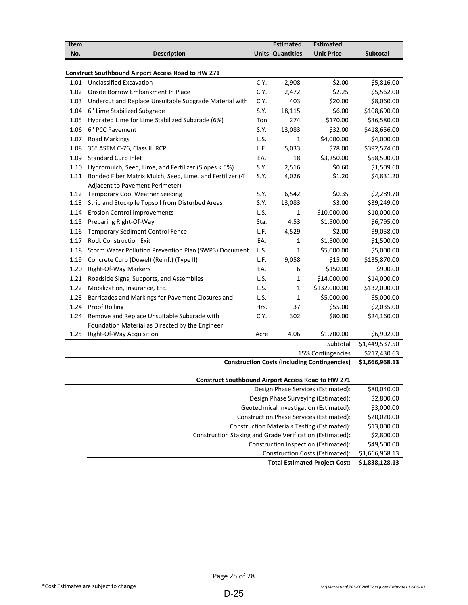| Item |                                                                                                                   |      | <b>Estimated</b>        | <b>Estimated</b>                                                         |                 |
|------|-------------------------------------------------------------------------------------------------------------------|------|-------------------------|--------------------------------------------------------------------------|-----------------|
| No.  | <b>Description</b>                                                                                                |      | <b>Units Quantities</b> | <b>Unit Price</b>                                                        | <b>Subtotal</b> |
|      | <b>Construct Southbound Airport Access Road to HW 271</b>                                                         |      |                         |                                                                          |                 |
| 1.01 | <b>Unclassified Excavation</b>                                                                                    | C.Y. | 2,908                   | \$2.00                                                                   | \$5,816.00      |
| 1.02 | Onsite Borrow Embankment In Place                                                                                 | C.Y. | 2,472                   | \$2.25                                                                   | \$5,562.00      |
| 1.03 | Undercut and Replace Unsuitable Subgrade Material with                                                            | C.Y. | 403                     | \$20.00                                                                  | \$8,060.00      |
| 1.04 | 6" Lime Stabilized Subgrade                                                                                       | S.Y. | 18,115                  | \$6.00                                                                   | \$108,690.00    |
| 1.05 | Hydrated Lime for Lime Stabilized Subgrade (6%)                                                                   | Ton  | 274                     | \$170.00                                                                 | \$46,580.00     |
| 1.06 | 6" PCC Pavement                                                                                                   | S.Y. | 13,083                  | \$32.00                                                                  | \$418,656.00    |
| 1.07 | <b>Road Markings</b>                                                                                              | L.S. | $\mathbf{1}$            | \$4,000.00                                                               | \$4,000.00      |
| 1.08 | 36" ASTM C-76, Class III RCP                                                                                      | L.F. | 5,033                   | \$78.00                                                                  | \$392,574.00    |
| 1.09 | <b>Standard Curb Inlet</b>                                                                                        | EA.  | 18                      | \$3,250.00                                                               | \$58,500.00     |
| 1.10 |                                                                                                                   | S.Y. | 2,516                   | \$0.60                                                                   | \$1,509.60      |
| 1.11 | Hydromulch, Seed, Lime, and Fertilizer (Slopes < 5%)<br>Bonded Fiber Matrix Mulch, Seed, Lime, and Fertilizer (4' | S.Y. | 4,026                   | \$1.20                                                                   | \$4,831.20      |
|      | Adjacent to Pavement Perimeter)                                                                                   |      |                         |                                                                          |                 |
| 1.12 | <b>Temporary Cool Weather Seeding</b>                                                                             | S.Y. | 6,542                   | \$0.35                                                                   | \$2,289.70      |
| 1.13 | Strip and Stockpile Topsoil from Disturbed Areas                                                                  | S.Y. | 13,083                  | \$3.00                                                                   | \$39,249.00     |
| 1.14 | <b>Erosion Control Improvements</b>                                                                               | L.S. | $\mathbf{1}$            | \$10,000.00                                                              | \$10,000.00     |
| 1.15 | Preparing Right-Of-Way                                                                                            | Sta. | 4.53                    | \$1,500.00                                                               | \$6,795.00      |
| 1.16 | <b>Temporary Sediment Control Fence</b>                                                                           | L.F. | 4,529                   | \$2.00                                                                   | \$9,058.00      |
| 1.17 | <b>Rock Construction Exit</b>                                                                                     | EA.  | 1                       | \$1,500.00                                                               | \$1,500.00      |
| 1.18 | Storm Water Pollution Prevention Plan (SWP3) Document                                                             | L.S. | $\mathbf{1}$            | \$5,000.00                                                               | \$5,000.00      |
| 1.19 | Concrete Curb (Dowel) (Reinf.) (Type II)                                                                          | L.F. | 9,058                   | \$15.00                                                                  | \$135,870.00    |
| 1.20 | <b>Right-Of-Way Markers</b>                                                                                       | EA.  | 6                       | \$150.00                                                                 | \$900.00        |
| 1.21 | Roadside Signs, Supports, and Assemblies                                                                          | L.S. | $\mathbf{1}$            | \$14,000.00                                                              | \$14,000.00     |
| 1.22 | Mobilization, Insurance, Etc.                                                                                     | L.S. | $\mathbf{1}$            | \$132,000.00                                                             | \$132,000.00    |
| 1.23 | Barricades and Markings for Pavement Closures and                                                                 | L.S. | $\mathbf{1}$            | \$5,000.00                                                               | \$5,000.00      |
| 1.24 | <b>Proof Rolling</b>                                                                                              | Hrs. | 37                      | \$55.00                                                                  | \$2,035.00      |
|      |                                                                                                                   | C.Y. | 302                     | \$80.00                                                                  |                 |
| 1.24 | Remove and Replace Unsuitable Subgrade with                                                                       |      |                         |                                                                          | \$24,160.00     |
| 1.25 | Foundation Material as Directed by the Engineer<br>Right-Of-Way Acquisition                                       | Acre | 4.06                    | \$1,700.00                                                               | \$6,902.00      |
|      |                                                                                                                   |      |                         | Subtotal                                                                 | \$1,449,537.50  |
|      |                                                                                                                   |      |                         |                                                                          | \$217,430.63    |
|      |                                                                                                                   |      |                         | 15% Contingencies<br><b>Construction Costs (Including Contingencies)</b> | \$1,666,968.13  |
|      |                                                                                                                   |      |                         |                                                                          |                 |

| <b>Construct Southbound Airport Access Road to HW 271</b> |                |
|-----------------------------------------------------------|----------------|
| Design Phase Services (Estimated):                        | \$80,040.00    |
| Design Phase Surveying (Estimated):                       | \$2,800.00     |
| Geotechnical Investigation (Estimated):                   | \$3,000.00     |
| Construction Phase Services (Estimated):                  | \$20,020.00    |
| Construction Materials Testing (Estimated):               | \$13,000.00    |
| Construction Staking and Grade Verification (Estimated):  | \$2,800.00     |
| Construction Inspection (Estimated):                      | \$49,500.00    |
| Construction Costs (Estimated):                           | \$1,666,968.13 |
| <b>Total Estimated Project Cost:</b>                      | \$1,838,128.13 |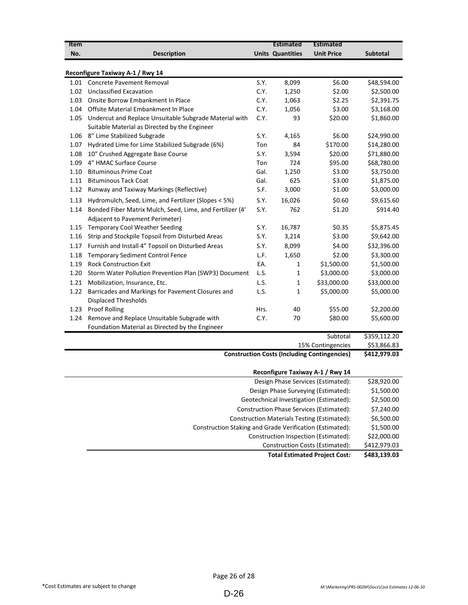| Item |                                                           |      | <b>Estimated</b>        | <b>Estimated</b>                                    |                 |
|------|-----------------------------------------------------------|------|-------------------------|-----------------------------------------------------|-----------------|
| No.  | <b>Description</b>                                        |      | <b>Units Quantities</b> | <b>Unit Price</b>                                   | <b>Subtotal</b> |
|      |                                                           |      |                         |                                                     |                 |
|      | Reconfigure Taxiway A-1 / Rwy 14                          |      |                         |                                                     |                 |
| 1.01 | <b>Concrete Pavement Removal</b>                          | S.Y. | 8,099                   | \$6.00                                              | \$48,594.00     |
| 1.02 | <b>Unclassified Excavation</b>                            | C.Y. | 1,250                   | \$2.00                                              | \$2,500.00      |
| 1.03 | Onsite Borrow Embankment In Place                         | C.Y. | 1,063                   | \$2.25                                              | \$2,391.75      |
| 1.04 | Offsite Material Embankment In Place                      | C.Y. | 1,056                   | \$3.00                                              | \$3,168.00      |
| 1.05 | Undercut and Replace Unsuitable Subgrade Material with    | C.Y. | 93                      | \$20.00                                             | \$1,860.00      |
|      | Suitable Material as Directed by the Engineer             |      |                         |                                                     |                 |
| 1.06 | 8" Lime Stabilized Subgrade                               | S.Y. | 4,165                   | \$6.00                                              | \$24,990.00     |
| 1.07 | Hydrated Lime for Lime Stabilized Subgrade (6%)           | Ton  | 84                      | \$170.00                                            | \$14,280.00     |
| 1.08 | 10" Crushed Aggregate Base Course                         | S.Y. | 3,594                   | \$20.00                                             | \$71,880.00     |
| 1.09 | 4" HMAC Surface Course                                    | Ton  | 724                     | \$95.00                                             | \$68,780.00     |
| 1.10 | <b>Bituminous Prime Coat</b>                              | Gal. | 1,250                   | \$3.00                                              | \$3,750.00      |
| 1.11 | <b>Bituminous Tack Coat</b>                               | Gal. | 625                     | \$3.00                                              | \$1,875.00      |
| 1.12 | Runway and Taxiway Markings (Reflective)                  | S.F. | 3,000                   | \$1.00                                              | \$3,000.00      |
| 1.13 | Hydromulch, Seed, Lime, and Fertilizer (Slopes < 5%)      | S.Y. | 16,026                  | \$0.60                                              | \$9,615.60      |
| 1.14 | Bonded Fiber Matrix Mulch, Seed, Lime, and Fertilizer (4' | S.Y. | 762                     | \$1.20                                              | \$914.40        |
|      | Adjacent to Pavement Perimeter)                           |      |                         |                                                     |                 |
| 1.15 | <b>Temporary Cool Weather Seeding</b>                     | S.Y. | 16,787                  | \$0.35                                              | \$5,875.45      |
| 1.16 | Strip and Stockpile Topsoil from Disturbed Areas          | S.Y. | 3,214                   | \$3.00                                              | \$9,642.00      |
| 1.17 | Furnish and Install 4" Topsoil on Disturbed Areas         | S.Y. | 8,099                   | \$4.00                                              | \$32,396.00     |
| 1.18 | Temporary Sediment Control Fence                          | L.F. | 1,650                   | \$2.00                                              | \$3,300.00      |
| 1.19 | <b>Rock Construction Exit</b>                             | EA.  | 1                       | \$1,500.00                                          | \$1,500.00      |
| 1.20 | Storm Water Pollution Prevention Plan (SWP3) Document     | L.S. | $\mathbf{1}$            | \$3,000.00                                          | \$3,000.00      |
| 1.21 | Mobilization, Insurance, Etc.                             | L.S. | 1                       | \$33,000.00                                         | \$33,000.00     |
| 1.22 | Barricades and Markings for Pavement Closures and         | L.S. | 1                       | \$5,000.00                                          | \$5,000.00      |
|      | <b>Displaced Thresholds</b>                               |      |                         |                                                     |                 |
| 1.23 | <b>Proof Rolling</b>                                      | Hrs. | 40                      | \$55.00                                             | \$2,200.00      |
| 1.24 | Remove and Replace Unsuitable Subgrade with               | C.Y. | 70                      | \$80.00                                             | \$5,600.00      |
|      | Foundation Material as Directed by the Engineer           |      |                         |                                                     |                 |
|      |                                                           |      |                         | Subtotal                                            | \$359,112.20    |
|      |                                                           |      |                         | 15% Contingencies                                   | \$53,866.83     |
|      |                                                           |      |                         | <b>Construction Costs (Including Contingencies)</b> | \$412,979.03    |
|      |                                                           |      |                         |                                                     |                 |
|      |                                                           |      |                         | Reconfigure Taxiway A-1 / Rwy 14                    |                 |

| \$28,920.00  | Design Phase Services (Estimated):                       |
|--------------|----------------------------------------------------------|
| \$1,500.00   | Design Phase Surveying (Estimated):                      |
| \$2,500.00   | Geotechnical Investigation (Estimated):                  |
| \$7,240.00   | Construction Phase Services (Estimated):                 |
| \$6,500.00   | <b>Construction Materials Testing (Estimated):</b>       |
| \$1,500.00   | Construction Staking and Grade Verification (Estimated): |
| \$22,000.00  | Construction Inspection (Estimated):                     |
| \$412,979.03 | Construction Costs (Estimated):                          |
| \$483,139.03 | <b>Total Estimated Project Cost:</b>                     |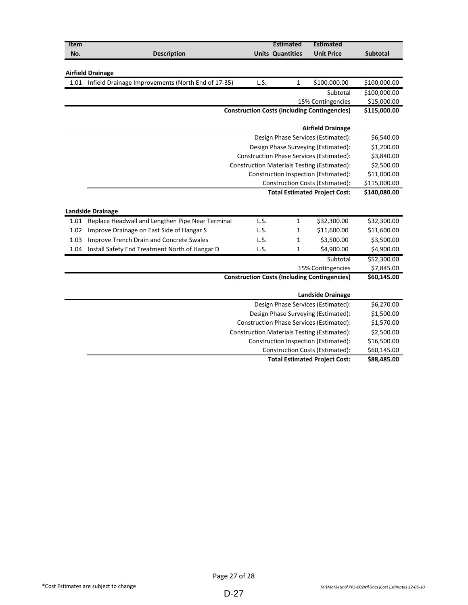| Item |                                                    |      | <b>Estimated</b>        | <b>Estimated</b>                                               |                 |
|------|----------------------------------------------------|------|-------------------------|----------------------------------------------------------------|-----------------|
| No.  | <b>Description</b>                                 |      | <b>Units Quantities</b> | <b>Unit Price</b>                                              | <b>Subtotal</b> |
|      |                                                    |      |                         |                                                                |                 |
|      | <b>Airfield Drainage</b>                           |      |                         |                                                                |                 |
| 1.01 | Infield Drainage Improvements (North End of 17-35) | L.S. | 1                       | \$100,000.00                                                   | \$100,000.00    |
|      |                                                    |      |                         | Subtotal                                                       | \$100,000.00    |
|      |                                                    |      |                         | 15% Contingencies                                              | \$15,000.00     |
|      |                                                    |      |                         | <b>Construction Costs (Including Contingencies)</b>            | \$115,000.00    |
|      |                                                    |      |                         |                                                                |                 |
|      |                                                    |      |                         | <b>Airfield Drainage</b>                                       |                 |
|      |                                                    |      |                         | Design Phase Services (Estimated):                             | \$6,540.00      |
|      |                                                    |      |                         | Design Phase Surveying (Estimated):                            | \$1,200.00      |
|      |                                                    |      |                         | Construction Phase Services (Estimated):                       | \$3,840.00      |
|      |                                                    |      |                         | Construction Materials Testing (Estimated):                    | \$2,500.00      |
|      |                                                    |      |                         | Construction Inspection (Estimated):                           | \$11,000.00     |
|      |                                                    |      |                         | <b>Construction Costs (Estimated):</b>                         | \$115,000.00    |
|      |                                                    |      |                         | <b>Total Estimated Project Cost:</b>                           | \$140,080.00    |
|      |                                                    |      |                         |                                                                |                 |
|      | <b>Landside Drainage</b>                           |      |                         |                                                                |                 |
| 1.01 | Replace Headwall and Lengthen Pipe Near Terminal   | L.S. | 1                       | \$32,300.00                                                    | \$32,300.00     |
| 1.02 | Improve Drainage on East Side of Hangar S          | L.S. | 1                       | \$11,600.00                                                    | \$11,600.00     |
| 1.03 | Improve Trench Drain and Concrete Swales           | L.S. | $\mathbf 1$             | \$3,500.00                                                     | \$3,500.00      |
| 1.04 | Install Safety End Treatment North of Hangar D     | L.S. | $\mathbf{1}$            | \$4,900.00                                                     | \$4,900.00      |
|      |                                                    |      |                         | Subtotal                                                       | \$52,300.00     |
|      |                                                    |      |                         | 15% Contingencies                                              | \$7,845.00      |
|      |                                                    |      |                         | <b>Construction Costs (Including Contingencies)</b>            | \$60,145.00     |
|      |                                                    |      |                         |                                                                |                 |
|      |                                                    |      |                         | <b>Landside Drainage</b><br>Design Phase Services (Estimated): | \$6,270.00      |
|      |                                                    |      |                         | Design Phase Surveying (Estimated):                            | \$1,500.00      |
|      |                                                    |      |                         | <b>Construction Phase Services (Estimated):</b>                | \$1,570.00      |
|      |                                                    |      |                         | Construction Materials Testing (Estimated):                    | \$2,500.00      |
|      |                                                    |      |                         | Construction Inspection (Estimated):                           | \$16,500.00     |
|      |                                                    |      |                         | <b>Construction Costs (Estimated):</b>                         | \$60,145.00     |
|      |                                                    |      |                         | <b>Total Estimated Project Cost:</b>                           | \$88,485.00     |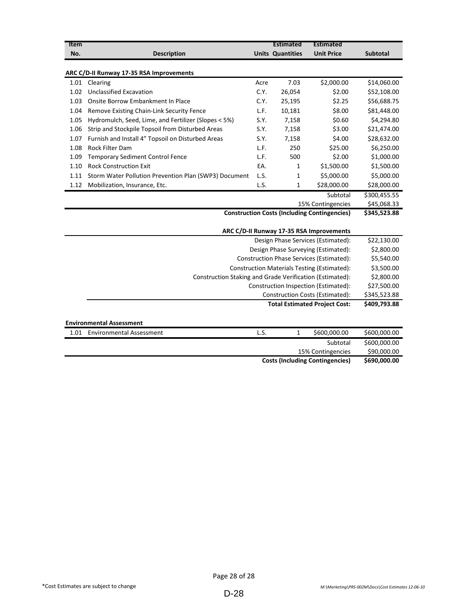| Item                            |                                                          |      | <b>Estimated</b>        | <b>Estimated</b>  |                 |
|---------------------------------|----------------------------------------------------------|------|-------------------------|-------------------|-----------------|
| No.                             | <b>Description</b>                                       |      | <b>Units Quantities</b> | <b>Unit Price</b> | <b>Subtotal</b> |
|                                 | ARC C/D-II Runway 17-35 RSA Improvements                 |      |                         |                   |                 |
|                                 | 1.01 Clearing                                            | Acre | 7.03                    | \$2,000.00        | \$14,060.00     |
| 1.02                            | <b>Unclassified Excavation</b>                           | C.Y. | 26,054                  | \$2.00            | \$52,108.00     |
| 1.03                            | Onsite Borrow Embankment In Place                        | C.Y. | 25,195                  | \$2.25            | \$56,688.75     |
| 1.04                            | Remove Existing Chain-Link Security Fence                | L.F. | 10,181                  | \$8.00            | \$81,448.00     |
| 1.05                            | Hydromulch, Seed, Lime, and Fertilizer (Slopes < 5%)     | S.Y. | 7,158                   | \$0.60            | \$4,294.80      |
| 1.06                            | Strip and Stockpile Topsoil from Disturbed Areas         | S.Y. | 7,158                   | \$3.00            | \$21,474.00     |
| 1.07                            | Furnish and Install 4" Topsoil on Disturbed Areas        | S.Y. | 7,158                   | \$4.00            | \$28,632.00     |
| 1.08                            | Rock Filter Dam                                          | L.F. | 250                     | \$25.00           | \$6,250.00      |
| 1.09                            | <b>Temporary Sediment Control Fence</b>                  | L.F. | 500                     | \$2.00            | \$1,000.00      |
| 1.10                            | <b>Rock Construction Exit</b>                            | EA.  | 1                       | \$1,500.00        | \$1,500.00      |
| 1.11                            | Storm Water Pollution Prevention Plan (SWP3) Document    | L.S. | $\mathbf{1}$            | \$5,000.00        | \$5,000.00      |
| 1.12                            | Mobilization, Insurance, Etc.                            | L.S. | $\mathbf{1}$            | \$28,000.00       | \$28,000.00     |
|                                 |                                                          |      |                         | Subtotal          | \$300,455.55    |
|                                 | 15% Contingencies                                        |      |                         |                   | \$45,068.33     |
|                                 | <b>Construction Costs (Including Contingencies)</b>      |      |                         |                   | \$345,523.88    |
|                                 | ARC C/D-II Runway 17-35 RSA Improvements                 |      |                         |                   |                 |
|                                 | Design Phase Services (Estimated):                       |      |                         |                   | \$22,130.00     |
|                                 | Design Phase Surveying (Estimated):                      |      |                         |                   | \$2,800.00      |
|                                 | Construction Phase Services (Estimated):                 |      |                         |                   | \$5,540.00      |
|                                 | <b>Construction Materials Testing (Estimated):</b>       |      |                         |                   | \$3,500.00      |
|                                 | Construction Staking and Grade Verification (Estimated): |      |                         |                   | \$2,800.00      |
|                                 | Construction Inspection (Estimated):                     |      |                         |                   | \$27,500.00     |
|                                 | Construction Costs (Estimated):                          |      |                         |                   | \$345,523.88    |
|                                 | <b>Total Estimated Project Cost:</b>                     |      |                         |                   | \$409,793.88    |
| <b>Environmental Assessment</b> |                                                          |      |                         |                   |                 |
|                                 | 1.01 Environmental Assessment                            | L.S. | $\mathbf{1}$            | \$600,000.00      | \$600,000.00    |
|                                 |                                                          |      |                         | Subtotal          | \$600,000.00    |
|                                 |                                                          |      |                         | 15% Contingencies | \$90,000.00     |
|                                 | <b>Costs (Including Contingencies)</b>                   |      |                         |                   |                 |